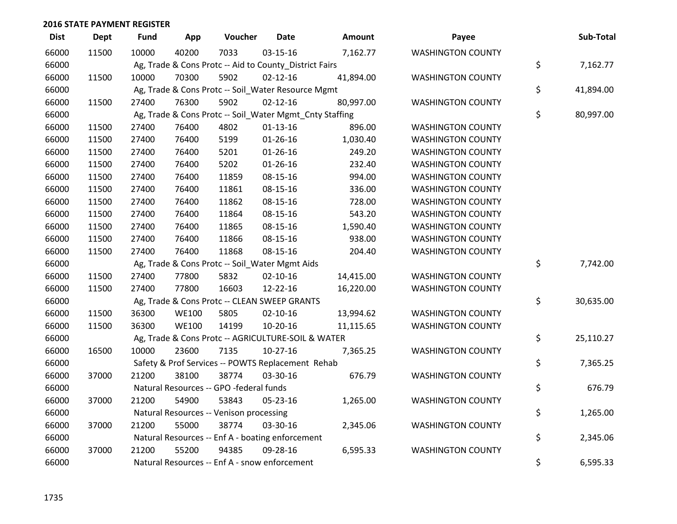| <b>Dist</b> | <b>Dept</b> | <b>Fund</b> | App          | Voucher                                                 | <b>Date</b>    | Amount    | Payee                    | Sub-Total       |
|-------------|-------------|-------------|--------------|---------------------------------------------------------|----------------|-----------|--------------------------|-----------------|
| 66000       | 11500       | 10000       | 40200        | 7033                                                    | 03-15-16       | 7,162.77  | <b>WASHINGTON COUNTY</b> |                 |
| 66000       |             |             |              | Ag, Trade & Cons Protc -- Aid to County_District Fairs  |                |           |                          | \$<br>7,162.77  |
| 66000       | 11500       | 10000       | 70300        | 5902                                                    | $02 - 12 - 16$ | 41,894.00 | <b>WASHINGTON COUNTY</b> |                 |
| 66000       |             |             |              | Ag, Trade & Cons Protc -- Soil_Water Resource Mgmt      |                |           |                          | \$<br>41,894.00 |
| 66000       | 11500       | 27400       | 76300        | 5902                                                    | $02 - 12 - 16$ | 80,997.00 | <b>WASHINGTON COUNTY</b> |                 |
| 66000       |             |             |              | Ag, Trade & Cons Protc -- Soil_Water Mgmt_Cnty Staffing |                |           |                          | \$<br>80,997.00 |
| 66000       | 11500       | 27400       | 76400        | 4802                                                    | $01-13-16$     | 896.00    | <b>WASHINGTON COUNTY</b> |                 |
| 66000       | 11500       | 27400       | 76400        | 5199                                                    | $01 - 26 - 16$ | 1,030.40  | <b>WASHINGTON COUNTY</b> |                 |
| 66000       | 11500       | 27400       | 76400        | 5201                                                    | $01 - 26 - 16$ | 249.20    | <b>WASHINGTON COUNTY</b> |                 |
| 66000       | 11500       | 27400       | 76400        | 5202                                                    | $01 - 26 - 16$ | 232.40    | <b>WASHINGTON COUNTY</b> |                 |
| 66000       | 11500       | 27400       | 76400        | 11859                                                   | 08-15-16       | 994.00    | <b>WASHINGTON COUNTY</b> |                 |
| 66000       | 11500       | 27400       | 76400        | 11861                                                   | 08-15-16       | 336.00    | <b>WASHINGTON COUNTY</b> |                 |
| 66000       | 11500       | 27400       | 76400        | 11862                                                   | 08-15-16       | 728.00    | <b>WASHINGTON COUNTY</b> |                 |
| 66000       | 11500       | 27400       | 76400        | 11864                                                   | 08-15-16       | 543.20    | <b>WASHINGTON COUNTY</b> |                 |
| 66000       | 11500       | 27400       | 76400        | 11865                                                   | 08-15-16       | 1,590.40  | <b>WASHINGTON COUNTY</b> |                 |
| 66000       | 11500       | 27400       | 76400        | 11866                                                   | 08-15-16       | 938.00    | <b>WASHINGTON COUNTY</b> |                 |
| 66000       | 11500       | 27400       | 76400        | 11868                                                   | 08-15-16       | 204.40    | <b>WASHINGTON COUNTY</b> |                 |
| 66000       |             |             |              | Ag, Trade & Cons Protc -- Soil_Water Mgmt Aids          |                |           |                          | \$<br>7,742.00  |
| 66000       | 11500       | 27400       | 77800        | 5832                                                    | $02 - 10 - 16$ | 14,415.00 | <b>WASHINGTON COUNTY</b> |                 |
| 66000       | 11500       | 27400       | 77800        | 16603                                                   | 12-22-16       | 16,220.00 | <b>WASHINGTON COUNTY</b> |                 |
| 66000       |             |             |              | Ag, Trade & Cons Protc -- CLEAN SWEEP GRANTS            |                |           |                          | \$<br>30,635.00 |
| 66000       | 11500       | 36300       | <b>WE100</b> | 5805                                                    | $02 - 10 - 16$ | 13,994.62 | <b>WASHINGTON COUNTY</b> |                 |
| 66000       | 11500       | 36300       | <b>WE100</b> | 14199                                                   | 10-20-16       | 11,115.65 | <b>WASHINGTON COUNTY</b> |                 |
| 66000       |             |             |              | Ag, Trade & Cons Protc -- AGRICULTURE-SOIL & WATER      |                |           |                          | \$<br>25,110.27 |
| 66000       | 16500       | 10000       | 23600        | 7135                                                    | $10-27-16$     | 7,365.25  | <b>WASHINGTON COUNTY</b> |                 |
| 66000       |             |             |              | Safety & Prof Services -- POWTS Replacement Rehab       |                |           |                          | \$<br>7,365.25  |
| 66000       | 37000       | 21200       | 38100        | 38774                                                   | 03-30-16       | 676.79    | <b>WASHINGTON COUNTY</b> |                 |
| 66000       |             |             |              | Natural Resources -- GPO -federal funds                 |                |           |                          | \$<br>676.79    |
| 66000       | 37000       | 21200       | 54900        | 53843                                                   | 05-23-16       | 1,265.00  | <b>WASHINGTON COUNTY</b> |                 |
| 66000       |             |             |              | Natural Resources -- Venison processing                 |                |           |                          | \$<br>1,265.00  |
| 66000       | 37000       | 21200       | 55000        | 38774                                                   | 03-30-16       | 2,345.06  | <b>WASHINGTON COUNTY</b> |                 |
| 66000       |             |             |              | Natural Resources -- Enf A - boating enforcement        |                |           |                          | \$<br>2,345.06  |
| 66000       | 37000       | 21200       | 55200        | 94385                                                   | 09-28-16       | 6,595.33  | <b>WASHINGTON COUNTY</b> |                 |
| 66000       |             |             |              | Natural Resources -- Enf A - snow enforcement           |                |           |                          | \$<br>6,595.33  |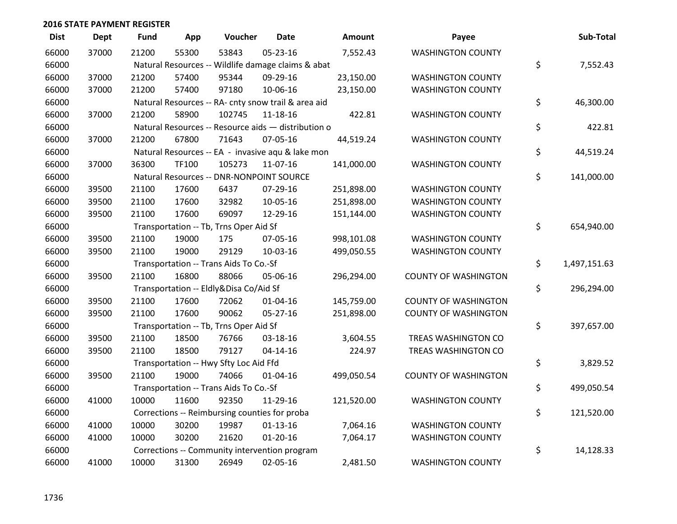| <b>Dist</b> | <b>Dept</b> | <b>Fund</b> | App   | Voucher                                             | <b>Date</b>    | <b>Amount</b> | Payee                       | Sub-Total          |
|-------------|-------------|-------------|-------|-----------------------------------------------------|----------------|---------------|-----------------------------|--------------------|
| 66000       | 37000       | 21200       | 55300 | 53843                                               | $05 - 23 - 16$ | 7,552.43      | <b>WASHINGTON COUNTY</b>    |                    |
| 66000       |             |             |       | Natural Resources -- Wildlife damage claims & abat  |                |               |                             | \$<br>7,552.43     |
| 66000       | 37000       | 21200       | 57400 | 95344                                               | 09-29-16       | 23,150.00     | <b>WASHINGTON COUNTY</b>    |                    |
| 66000       | 37000       | 21200       | 57400 | 97180                                               | 10-06-16       | 23,150.00     | <b>WASHINGTON COUNTY</b>    |                    |
| 66000       |             |             |       | Natural Resources -- RA- cnty snow trail & area aid |                |               |                             | \$<br>46,300.00    |
| 66000       | 37000       | 21200       | 58900 | 102745                                              | 11-18-16       | 422.81        | <b>WASHINGTON COUNTY</b>    |                    |
| 66000       |             |             |       | Natural Resources -- Resource aids - distribution o |                |               |                             | \$<br>422.81       |
| 66000       | 37000       | 21200       | 67800 | 71643                                               | 07-05-16       | 44,519.24     | <b>WASHINGTON COUNTY</b>    |                    |
| 66000       |             |             |       | Natural Resources -- EA - invasive aqu & lake mon   |                |               |                             | \$<br>44,519.24    |
| 66000       | 37000       | 36300       | TF100 | 105273                                              | 11-07-16       | 141,000.00    | <b>WASHINGTON COUNTY</b>    |                    |
| 66000       |             |             |       | Natural Resources -- DNR-NONPOINT SOURCE            |                |               |                             | \$<br>141,000.00   |
| 66000       | 39500       | 21100       | 17600 | 6437                                                | 07-29-16       | 251,898.00    | <b>WASHINGTON COUNTY</b>    |                    |
| 66000       | 39500       | 21100       | 17600 | 32982                                               | 10-05-16       | 251,898.00    | <b>WASHINGTON COUNTY</b>    |                    |
| 66000       | 39500       | 21100       | 17600 | 69097                                               | 12-29-16       | 151,144.00    | <b>WASHINGTON COUNTY</b>    |                    |
| 66000       |             |             |       | Transportation -- Tb, Trns Oper Aid Sf              |                |               |                             | \$<br>654,940.00   |
| 66000       | 39500       | 21100       | 19000 | 175                                                 | 07-05-16       | 998,101.08    | <b>WASHINGTON COUNTY</b>    |                    |
| 66000       | 39500       | 21100       | 19000 | 29129                                               | 10-03-16       | 499,050.55    | <b>WASHINGTON COUNTY</b>    |                    |
| 66000       |             |             |       | Transportation -- Trans Aids To Co.-Sf              |                |               |                             | \$<br>1,497,151.63 |
| 66000       | 39500       | 21100       | 16800 | 88066                                               | 05-06-16       | 296,294.00    | <b>COUNTY OF WASHINGTON</b> |                    |
| 66000       |             |             |       | Transportation -- Eldly&Disa Co/Aid Sf              |                |               |                             | \$<br>296,294.00   |
| 66000       | 39500       | 21100       | 17600 | 72062                                               | $01 - 04 - 16$ | 145,759.00    | <b>COUNTY OF WASHINGTON</b> |                    |
| 66000       | 39500       | 21100       | 17600 | 90062                                               | 05-27-16       | 251,898.00    | <b>COUNTY OF WASHINGTON</b> |                    |
| 66000       |             |             |       | Transportation -- Tb, Trns Oper Aid Sf              |                |               |                             | \$<br>397,657.00   |
| 66000       | 39500       | 21100       | 18500 | 76766                                               | 03-18-16       | 3,604.55      | TREAS WASHINGTON CO         |                    |
| 66000       | 39500       | 21100       | 18500 | 79127                                               | $04 - 14 - 16$ | 224.97        | TREAS WASHINGTON CO         |                    |
| 66000       |             |             |       | Transportation -- Hwy Sfty Loc Aid Ffd              |                |               |                             | \$<br>3,829.52     |
| 66000       | 39500       | 21100       | 19000 | 74066                                               | $01 - 04 - 16$ | 499,050.54    | <b>COUNTY OF WASHINGTON</b> |                    |
| 66000       |             |             |       | Transportation -- Trans Aids To Co.-Sf              |                |               |                             | \$<br>499,050.54   |
| 66000       | 41000       | 10000       | 11600 | 92350                                               | 11-29-16       | 121,520.00    | <b>WASHINGTON COUNTY</b>    |                    |
| 66000       |             |             |       | Corrections -- Reimbursing counties for proba       |                |               |                             | \$<br>121,520.00   |
| 66000       | 41000       | 10000       | 30200 | 19987                                               | $01-13-16$     | 7,064.16      | <b>WASHINGTON COUNTY</b>    |                    |
| 66000       | 41000       | 10000       | 30200 | 21620                                               | $01 - 20 - 16$ | 7,064.17      | <b>WASHINGTON COUNTY</b>    |                    |
| 66000       |             |             |       | Corrections -- Community intervention program       |                |               |                             | \$<br>14,128.33    |
| 66000       | 41000       | 10000       | 31300 | 26949                                               | 02-05-16       | 2,481.50      | <b>WASHINGTON COUNTY</b>    |                    |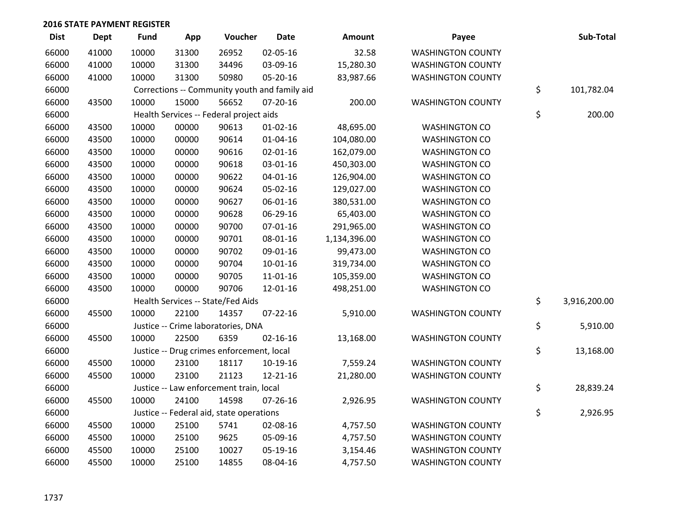| <b>Dist</b> | <b>Dept</b> | <b>Fund</b> | App   | Voucher                                       | <b>Date</b>    | Amount       | Payee                    | Sub-Total          |
|-------------|-------------|-------------|-------|-----------------------------------------------|----------------|--------------|--------------------------|--------------------|
| 66000       | 41000       | 10000       | 31300 | 26952                                         | 02-05-16       | 32.58        | <b>WASHINGTON COUNTY</b> |                    |
| 66000       | 41000       | 10000       | 31300 | 34496                                         | 03-09-16       | 15,280.30    | <b>WASHINGTON COUNTY</b> |                    |
| 66000       | 41000       | 10000       | 31300 | 50980                                         | 05-20-16       | 83,987.66    | <b>WASHINGTON COUNTY</b> |                    |
| 66000       |             |             |       | Corrections -- Community youth and family aid |                |              |                          | \$<br>101,782.04   |
| 66000       | 43500       | 10000       | 15000 | 56652                                         | $07 - 20 - 16$ | 200.00       | <b>WASHINGTON COUNTY</b> |                    |
| 66000       |             |             |       | Health Services -- Federal project aids       |                |              |                          | \$<br>200.00       |
| 66000       | 43500       | 10000       | 00000 | 90613                                         | $01 - 02 - 16$ | 48,695.00    | <b>WASHINGTON CO</b>     |                    |
| 66000       | 43500       | 10000       | 00000 | 90614                                         | $01 - 04 - 16$ | 104,080.00   | <b>WASHINGTON CO</b>     |                    |
| 66000       | 43500       | 10000       | 00000 | 90616                                         | $02 - 01 - 16$ | 162,079.00   | <b>WASHINGTON CO</b>     |                    |
| 66000       | 43500       | 10000       | 00000 | 90618                                         | 03-01-16       | 450,303.00   | <b>WASHINGTON CO</b>     |                    |
| 66000       | 43500       | 10000       | 00000 | 90622                                         | $04 - 01 - 16$ | 126,904.00   | <b>WASHINGTON CO</b>     |                    |
| 66000       | 43500       | 10000       | 00000 | 90624                                         | 05-02-16       | 129,027.00   | <b>WASHINGTON CO</b>     |                    |
| 66000       | 43500       | 10000       | 00000 | 90627                                         | 06-01-16       | 380,531.00   | <b>WASHINGTON CO</b>     |                    |
| 66000       | 43500       | 10000       | 00000 | 90628                                         | 06-29-16       | 65,403.00    | <b>WASHINGTON CO</b>     |                    |
| 66000       | 43500       | 10000       | 00000 | 90700                                         | $07 - 01 - 16$ | 291,965.00   | <b>WASHINGTON CO</b>     |                    |
| 66000       | 43500       | 10000       | 00000 | 90701                                         | 08-01-16       | 1,134,396.00 | <b>WASHINGTON CO</b>     |                    |
| 66000       | 43500       | 10000       | 00000 | 90702                                         | 09-01-16       | 99,473.00    | <b>WASHINGTON CO</b>     |                    |
| 66000       | 43500       | 10000       | 00000 | 90704                                         | $10-01-16$     | 319,734.00   | <b>WASHINGTON CO</b>     |                    |
| 66000       | 43500       | 10000       | 00000 | 90705                                         | 11-01-16       | 105,359.00   | <b>WASHINGTON CO</b>     |                    |
| 66000       | 43500       | 10000       | 00000 | 90706                                         | 12-01-16       | 498,251.00   | <b>WASHINGTON CO</b>     |                    |
| 66000       |             |             |       | Health Services -- State/Fed Aids             |                |              |                          | \$<br>3,916,200.00 |
| 66000       | 45500       | 10000       | 22100 | 14357                                         | $07 - 22 - 16$ | 5,910.00     | <b>WASHINGTON COUNTY</b> |                    |
| 66000       |             |             |       | Justice -- Crime laboratories, DNA            |                |              |                          | \$<br>5,910.00     |
| 66000       | 45500       | 10000       | 22500 | 6359                                          | $02 - 16 - 16$ | 13,168.00    | <b>WASHINGTON COUNTY</b> |                    |
| 66000       |             |             |       | Justice -- Drug crimes enforcement, local     |                |              |                          | \$<br>13,168.00    |
| 66000       | 45500       | 10000       | 23100 | 18117                                         | 10-19-16       | 7,559.24     | <b>WASHINGTON COUNTY</b> |                    |
| 66000       | 45500       | 10000       | 23100 | 21123                                         | 12-21-16       | 21,280.00    | <b>WASHINGTON COUNTY</b> |                    |
| 66000       |             |             |       | Justice -- Law enforcement train, local       |                |              |                          | \$<br>28,839.24    |
| 66000       | 45500       | 10000       | 24100 | 14598                                         | $07 - 26 - 16$ | 2,926.95     | <b>WASHINGTON COUNTY</b> |                    |
| 66000       |             |             |       | Justice -- Federal aid, state operations      |                |              |                          | \$<br>2,926.95     |
| 66000       | 45500       | 10000       | 25100 | 5741                                          | 02-08-16       | 4,757.50     | <b>WASHINGTON COUNTY</b> |                    |
| 66000       | 45500       | 10000       | 25100 | 9625                                          | 05-09-16       | 4,757.50     | <b>WASHINGTON COUNTY</b> |                    |
| 66000       | 45500       | 10000       | 25100 | 10027                                         | 05-19-16       | 3,154.46     | <b>WASHINGTON COUNTY</b> |                    |
| 66000       | 45500       | 10000       | 25100 | 14855                                         | 08-04-16       | 4,757.50     | <b>WASHINGTON COUNTY</b> |                    |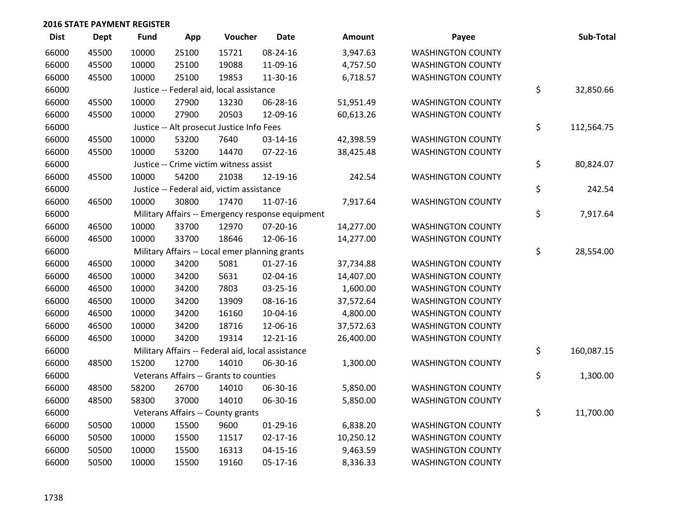| <b>Dist</b> | <b>Dept</b> | <b>Fund</b> | App   | Voucher                                        | <b>Date</b>                                       | <b>Amount</b> | Payee                    | Sub-Total        |
|-------------|-------------|-------------|-------|------------------------------------------------|---------------------------------------------------|---------------|--------------------------|------------------|
| 66000       | 45500       | 10000       | 25100 | 15721                                          | 08-24-16                                          | 3,947.63      | <b>WASHINGTON COUNTY</b> |                  |
| 66000       | 45500       | 10000       | 25100 | 19088                                          | 11-09-16                                          | 4,757.50      | <b>WASHINGTON COUNTY</b> |                  |
| 66000       | 45500       | 10000       | 25100 | 19853                                          | 11-30-16                                          | 6,718.57      | <b>WASHINGTON COUNTY</b> |                  |
| 66000       |             |             |       | Justice -- Federal aid, local assistance       |                                                   |               |                          | \$<br>32,850.66  |
| 66000       | 45500       | 10000       | 27900 | 13230                                          | 06-28-16                                          | 51,951.49     | <b>WASHINGTON COUNTY</b> |                  |
| 66000       | 45500       | 10000       | 27900 | 20503                                          | 12-09-16                                          | 60,613.26     | <b>WASHINGTON COUNTY</b> |                  |
| 66000       |             |             |       | Justice -- Alt prosecut Justice Info Fees      |                                                   |               |                          | \$<br>112,564.75 |
| 66000       | 45500       | 10000       | 53200 | 7640                                           | 03-14-16                                          | 42,398.59     | <b>WASHINGTON COUNTY</b> |                  |
| 66000       | 45500       | 10000       | 53200 | 14470                                          | $07 - 22 - 16$                                    | 38,425.48     | <b>WASHINGTON COUNTY</b> |                  |
| 66000       |             |             |       | Justice -- Crime victim witness assist         |                                                   |               |                          | \$<br>80,824.07  |
| 66000       | 45500       | 10000       | 54200 | 21038                                          | 12-19-16                                          | 242.54        | <b>WASHINGTON COUNTY</b> |                  |
| 66000       |             |             |       | Justice -- Federal aid, victim assistance      |                                                   |               |                          | \$<br>242.54     |
| 66000       | 46500       | 10000       | 30800 | 17470                                          | 11-07-16                                          | 7,917.64      | <b>WASHINGTON COUNTY</b> |                  |
| 66000       |             |             |       |                                                | Military Affairs -- Emergency response equipment  |               |                          | \$<br>7,917.64   |
| 66000       | 46500       | 10000       | 33700 | 12970                                          | 07-20-16                                          | 14,277.00     | <b>WASHINGTON COUNTY</b> |                  |
| 66000       | 46500       | 10000       | 33700 | 18646                                          | 12-06-16                                          | 14,277.00     | <b>WASHINGTON COUNTY</b> |                  |
| 66000       |             |             |       | Military Affairs -- Local emer planning grants |                                                   |               |                          | \$<br>28,554.00  |
| 66000       | 46500       | 10000       | 34200 | 5081                                           | $01-27-16$                                        | 37,734.88     | <b>WASHINGTON COUNTY</b> |                  |
| 66000       | 46500       | 10000       | 34200 | 5631                                           | 02-04-16                                          | 14,407.00     | <b>WASHINGTON COUNTY</b> |                  |
| 66000       | 46500       | 10000       | 34200 | 7803                                           | 03-25-16                                          | 1,600.00      | <b>WASHINGTON COUNTY</b> |                  |
| 66000       | 46500       | 10000       | 34200 | 13909                                          | 08-16-16                                          | 37,572.64     | <b>WASHINGTON COUNTY</b> |                  |
| 66000       | 46500       | 10000       | 34200 | 16160                                          | 10-04-16                                          | 4,800.00      | <b>WASHINGTON COUNTY</b> |                  |
| 66000       | 46500       | 10000       | 34200 | 18716                                          | 12-06-16                                          | 37,572.63     | <b>WASHINGTON COUNTY</b> |                  |
| 66000       | 46500       | 10000       | 34200 | 19314                                          | $12 - 21 - 16$                                    | 26,400.00     | <b>WASHINGTON COUNTY</b> |                  |
| 66000       |             |             |       |                                                | Military Affairs -- Federal aid, local assistance |               |                          | \$<br>160,087.15 |
| 66000       | 48500       | 15200       | 12700 | 14010                                          | 06-30-16                                          | 1,300.00      | <b>WASHINGTON COUNTY</b> |                  |
| 66000       |             |             |       | Veterans Affairs -- Grants to counties         |                                                   |               |                          | \$<br>1,300.00   |
| 66000       | 48500       | 58200       | 26700 | 14010                                          | 06-30-16                                          | 5,850.00      | <b>WASHINGTON COUNTY</b> |                  |
| 66000       | 48500       | 58300       | 37000 | 14010                                          | 06-30-16                                          | 5,850.00      | <b>WASHINGTON COUNTY</b> |                  |
| 66000       |             |             |       | Veterans Affairs -- County grants              |                                                   |               |                          | \$<br>11,700.00  |
| 66000       | 50500       | 10000       | 15500 | 9600                                           | 01-29-16                                          | 6,838.20      | <b>WASHINGTON COUNTY</b> |                  |
| 66000       | 50500       | 10000       | 15500 | 11517                                          | $02 - 17 - 16$                                    | 10,250.12     | <b>WASHINGTON COUNTY</b> |                  |
| 66000       | 50500       | 10000       | 15500 | 16313                                          | $04-15-16$                                        | 9,463.59      | <b>WASHINGTON COUNTY</b> |                  |
| 66000       | 50500       | 10000       | 15500 | 19160                                          | 05-17-16                                          | 8,336.33      | <b>WASHINGTON COUNTY</b> |                  |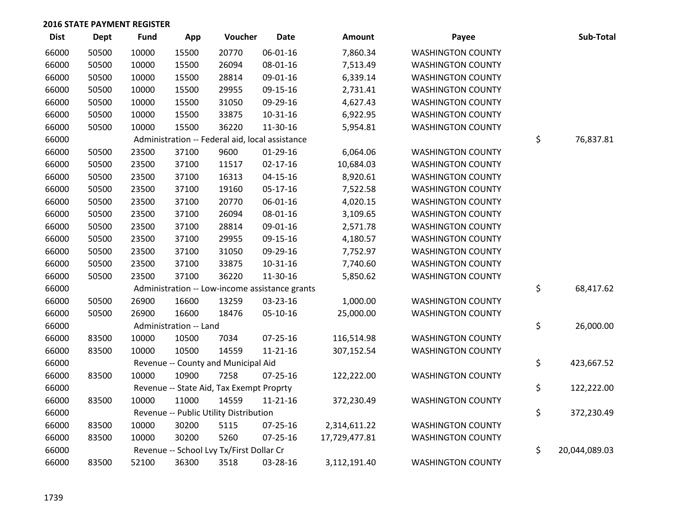| <b>Dist</b> | <b>Dept</b> | <b>Fund</b> | App                    | Voucher                                         | <b>Date</b>    | <b>Amount</b> | Payee                    | Sub-Total           |
|-------------|-------------|-------------|------------------------|-------------------------------------------------|----------------|---------------|--------------------------|---------------------|
| 66000       | 50500       | 10000       | 15500                  | 20770                                           | 06-01-16       | 7,860.34      | <b>WASHINGTON COUNTY</b> |                     |
| 66000       | 50500       | 10000       | 15500                  | 26094                                           | 08-01-16       | 7,513.49      | <b>WASHINGTON COUNTY</b> |                     |
| 66000       | 50500       | 10000       | 15500                  | 28814                                           | 09-01-16       | 6,339.14      | <b>WASHINGTON COUNTY</b> |                     |
| 66000       | 50500       | 10000       | 15500                  | 29955                                           | 09-15-16       | 2,731.41      | <b>WASHINGTON COUNTY</b> |                     |
| 66000       | 50500       | 10000       | 15500                  | 31050                                           | 09-29-16       | 4,627.43      | <b>WASHINGTON COUNTY</b> |                     |
| 66000       | 50500       | 10000       | 15500                  | 33875                                           | 10-31-16       | 6,922.95      | <b>WASHINGTON COUNTY</b> |                     |
| 66000       | 50500       | 10000       | 15500                  | 36220                                           | 11-30-16       | 5,954.81      | <b>WASHINGTON COUNTY</b> |                     |
| 66000       |             |             |                        | Administration -- Federal aid, local assistance |                |               |                          | \$<br>76,837.81     |
| 66000       | 50500       | 23500       | 37100                  | 9600                                            | $01-29-16$     | 6,064.06      | <b>WASHINGTON COUNTY</b> |                     |
| 66000       | 50500       | 23500       | 37100                  | 11517                                           | $02 - 17 - 16$ | 10,684.03     | <b>WASHINGTON COUNTY</b> |                     |
| 66000       | 50500       | 23500       | 37100                  | 16313                                           | $04 - 15 - 16$ | 8,920.61      | <b>WASHINGTON COUNTY</b> |                     |
| 66000       | 50500       | 23500       | 37100                  | 19160                                           | 05-17-16       | 7,522.58      | <b>WASHINGTON COUNTY</b> |                     |
| 66000       | 50500       | 23500       | 37100                  | 20770                                           | $06 - 01 - 16$ | 4,020.15      | <b>WASHINGTON COUNTY</b> |                     |
| 66000       | 50500       | 23500       | 37100                  | 26094                                           | 08-01-16       | 3,109.65      | <b>WASHINGTON COUNTY</b> |                     |
| 66000       | 50500       | 23500       | 37100                  | 28814                                           | 09-01-16       | 2,571.78      | <b>WASHINGTON COUNTY</b> |                     |
| 66000       | 50500       | 23500       | 37100                  | 29955                                           | 09-15-16       | 4,180.57      | <b>WASHINGTON COUNTY</b> |                     |
| 66000       | 50500       | 23500       | 37100                  | 31050                                           | 09-29-16       | 7,752.97      | <b>WASHINGTON COUNTY</b> |                     |
| 66000       | 50500       | 23500       | 37100                  | 33875                                           | $10 - 31 - 16$ | 7,740.60      | <b>WASHINGTON COUNTY</b> |                     |
| 66000       | 50500       | 23500       | 37100                  | 36220                                           | 11-30-16       | 5,850.62      | <b>WASHINGTON COUNTY</b> |                     |
| 66000       |             |             |                        | Administration -- Low-income assistance grants  |                |               |                          | \$<br>68,417.62     |
| 66000       | 50500       | 26900       | 16600                  | 13259                                           | 03-23-16       | 1,000.00      | <b>WASHINGTON COUNTY</b> |                     |
| 66000       | 50500       | 26900       | 16600                  | 18476                                           | 05-10-16       | 25,000.00     | <b>WASHINGTON COUNTY</b> |                     |
| 66000       |             |             | Administration -- Land |                                                 |                |               |                          | \$<br>26,000.00     |
| 66000       | 83500       | 10000       | 10500                  | 7034                                            | 07-25-16       | 116,514.98    | <b>WASHINGTON COUNTY</b> |                     |
| 66000       | 83500       | 10000       | 10500                  | 14559                                           | $11 - 21 - 16$ | 307,152.54    | <b>WASHINGTON COUNTY</b> |                     |
| 66000       |             |             |                        | Revenue -- County and Municipal Aid             |                |               |                          | \$<br>423,667.52    |
| 66000       | 83500       | 10000       | 10900                  | 7258                                            | $07 - 25 - 16$ | 122,222.00    | <b>WASHINGTON COUNTY</b> |                     |
| 66000       |             |             |                        | Revenue -- State Aid, Tax Exempt Proprty        |                |               |                          | \$<br>122,222.00    |
| 66000       | 83500       | 10000       | 11000                  | 14559                                           | $11 - 21 - 16$ | 372,230.49    | <b>WASHINGTON COUNTY</b> |                     |
| 66000       |             |             |                        | Revenue -- Public Utility Distribution          |                |               |                          | \$<br>372,230.49    |
| 66000       | 83500       | 10000       | 30200                  | 5115                                            | $07 - 25 - 16$ | 2,314,611.22  | <b>WASHINGTON COUNTY</b> |                     |
| 66000       | 83500       | 10000       | 30200                  | 5260                                            | 07-25-16       | 17,729,477.81 | <b>WASHINGTON COUNTY</b> |                     |
| 66000       |             |             |                        | Revenue -- School Lvy Tx/First Dollar Cr        |                |               |                          | \$<br>20,044,089.03 |
| 66000       | 83500       | 52100       | 36300                  | 3518                                            | 03-28-16       | 3,112,191.40  | <b>WASHINGTON COUNTY</b> |                     |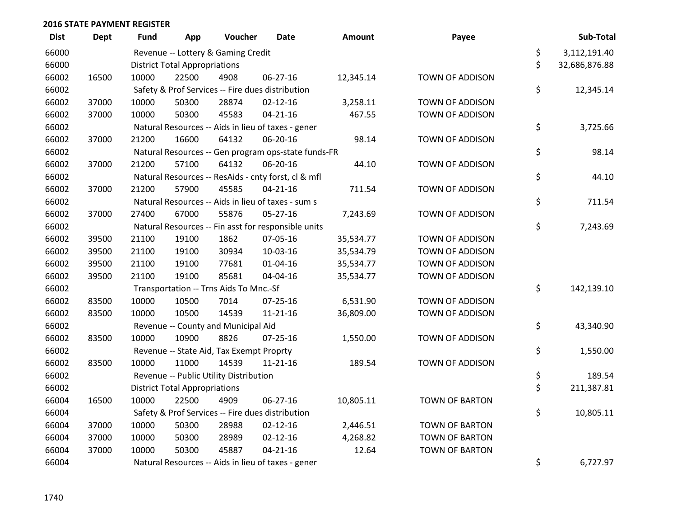| <b>Dist</b> | <b>Dept</b> | Fund  | App                                  | Voucher                                  | Date                                                | <b>Amount</b> | Payee                  | Sub-Total           |
|-------------|-------------|-------|--------------------------------------|------------------------------------------|-----------------------------------------------------|---------------|------------------------|---------------------|
| 66000       |             |       |                                      | Revenue -- Lottery & Gaming Credit       |                                                     |               |                        | \$<br>3,112,191.40  |
| 66000       |             |       | <b>District Total Appropriations</b> |                                          |                                                     |               |                        | \$<br>32,686,876.88 |
| 66002       | 16500       | 10000 | 22500                                | 4908                                     | 06-27-16                                            | 12,345.14     | TOWN OF ADDISON        |                     |
| 66002       |             |       |                                      |                                          | Safety & Prof Services -- Fire dues distribution    |               |                        | \$<br>12,345.14     |
| 66002       | 37000       | 10000 | 50300                                | 28874                                    | $02 - 12 - 16$                                      | 3,258.11      | <b>TOWN OF ADDISON</b> |                     |
| 66002       | 37000       | 10000 | 50300                                | 45583                                    | $04 - 21 - 16$                                      | 467.55        | TOWN OF ADDISON        |                     |
| 66002       |             |       |                                      |                                          | Natural Resources -- Aids in lieu of taxes - gener  |               |                        | \$<br>3,725.66      |
| 66002       | 37000       | 21200 | 16600                                | 64132                                    | 06-20-16                                            | 98.14         | TOWN OF ADDISON        |                     |
| 66002       |             |       |                                      |                                          | Natural Resources -- Gen program ops-state funds-FR |               |                        | \$<br>98.14         |
| 66002       | 37000       | 21200 | 57100                                | 64132                                    | 06-20-16                                            | 44.10         | TOWN OF ADDISON        |                     |
| 66002       |             |       |                                      |                                          | Natural Resources -- ResAids - cnty forst, cl & mfl |               |                        | \$<br>44.10         |
| 66002       | 37000       | 21200 | 57900                                | 45585                                    | $04 - 21 - 16$                                      | 711.54        | TOWN OF ADDISON        |                     |
| 66002       |             |       |                                      |                                          | Natural Resources -- Aids in lieu of taxes - sum s  |               |                        | \$<br>711.54        |
| 66002       | 37000       | 27400 | 67000                                | 55876                                    | $05 - 27 - 16$                                      | 7,243.69      | TOWN OF ADDISON        |                     |
| 66002       |             |       |                                      |                                          | Natural Resources -- Fin asst for responsible units |               |                        | \$<br>7,243.69      |
| 66002       | 39500       | 21100 | 19100                                | 1862                                     | 07-05-16                                            | 35,534.77     | TOWN OF ADDISON        |                     |
| 66002       | 39500       | 21100 | 19100                                | 30934                                    | 10-03-16                                            | 35,534.79     | TOWN OF ADDISON        |                     |
| 66002       | 39500       | 21100 | 19100                                | 77681                                    | $01 - 04 - 16$                                      | 35,534.77     | TOWN OF ADDISON        |                     |
| 66002       | 39500       | 21100 | 19100                                | 85681                                    | 04-04-16                                            | 35,534.77     | <b>TOWN OF ADDISON</b> |                     |
| 66002       |             |       |                                      | Transportation -- Trns Aids To Mnc.-Sf   |                                                     |               |                        | \$<br>142,139.10    |
| 66002       | 83500       | 10000 | 10500                                | 7014                                     | $07 - 25 - 16$                                      | 6,531.90      | TOWN OF ADDISON        |                     |
| 66002       | 83500       | 10000 | 10500                                | 14539                                    | $11 - 21 - 16$                                      | 36,809.00     | TOWN OF ADDISON        |                     |
| 66002       |             |       |                                      | Revenue -- County and Municipal Aid      |                                                     |               |                        | \$<br>43,340.90     |
| 66002       | 83500       | 10000 | 10900                                | 8826                                     | $07 - 25 - 16$                                      | 1,550.00      | TOWN OF ADDISON        |                     |
| 66002       |             |       |                                      | Revenue -- State Aid, Tax Exempt Proprty |                                                     |               |                        | \$<br>1,550.00      |
| 66002       | 83500       | 10000 | 11000                                | 14539                                    | $11 - 21 - 16$                                      | 189.54        | <b>TOWN OF ADDISON</b> |                     |
| 66002       |             |       |                                      | Revenue -- Public Utility Distribution   |                                                     |               |                        | \$<br>189.54        |
| 66002       |             |       | <b>District Total Appropriations</b> |                                          |                                                     |               |                        | \$<br>211,387.81    |
| 66004       | 16500       | 10000 | 22500                                | 4909                                     | 06-27-16                                            | 10,805.11     | TOWN OF BARTON         |                     |
| 66004       |             |       |                                      |                                          | Safety & Prof Services -- Fire dues distribution    |               |                        | \$<br>10,805.11     |
| 66004       | 37000       | 10000 | 50300                                | 28988                                    | $02 - 12 - 16$                                      | 2,446.51      | <b>TOWN OF BARTON</b>  |                     |
| 66004       | 37000       | 10000 | 50300                                | 28989                                    | $02 - 12 - 16$                                      | 4,268.82      | <b>TOWN OF BARTON</b>  |                     |
| 66004       | 37000       | 10000 | 50300                                | 45887                                    | $04 - 21 - 16$                                      | 12.64         | <b>TOWN OF BARTON</b>  |                     |
| 66004       |             |       |                                      |                                          | Natural Resources -- Aids in lieu of taxes - gener  |               |                        | \$<br>6,727.97      |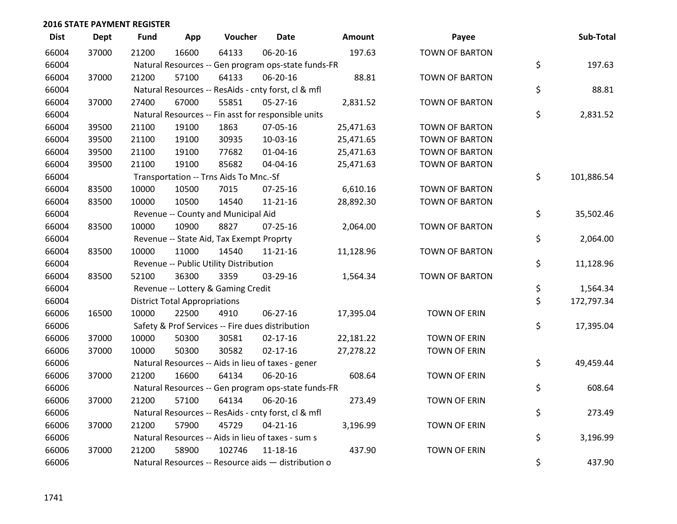| <b>Dist</b> | <b>Dept</b> | <b>Fund</b> | App                                  | Voucher                                             | <b>Date</b>    | Amount    | Payee                 | Sub-Total        |
|-------------|-------------|-------------|--------------------------------------|-----------------------------------------------------|----------------|-----------|-----------------------|------------------|
| 66004       | 37000       | 21200       | 16600                                | 64133                                               | 06-20-16       | 197.63    | <b>TOWN OF BARTON</b> |                  |
| 66004       |             |             |                                      | Natural Resources -- Gen program ops-state funds-FR |                |           |                       | \$<br>197.63     |
| 66004       | 37000       | 21200       | 57100                                | 64133                                               | 06-20-16       | 88.81     | <b>TOWN OF BARTON</b> |                  |
| 66004       |             |             |                                      | Natural Resources -- ResAids - cnty forst, cl & mfl |                |           |                       | \$<br>88.81      |
| 66004       | 37000       | 27400       | 67000                                | 55851                                               | $05 - 27 - 16$ | 2,831.52  | <b>TOWN OF BARTON</b> |                  |
| 66004       |             |             |                                      | Natural Resources -- Fin asst for responsible units |                |           |                       | \$<br>2,831.52   |
| 66004       | 39500       | 21100       | 19100                                | 1863                                                | 07-05-16       | 25,471.63 | <b>TOWN OF BARTON</b> |                  |
| 66004       | 39500       | 21100       | 19100                                | 30935                                               | 10-03-16       | 25,471.65 | <b>TOWN OF BARTON</b> |                  |
| 66004       | 39500       | 21100       | 19100                                | 77682                                               | $01 - 04 - 16$ | 25,471.63 | <b>TOWN OF BARTON</b> |                  |
| 66004       | 39500       | 21100       | 19100                                | 85682                                               | 04-04-16       | 25,471.63 | <b>TOWN OF BARTON</b> |                  |
| 66004       |             |             |                                      | Transportation -- Trns Aids To Mnc.-Sf              |                |           |                       | \$<br>101,886.54 |
| 66004       | 83500       | 10000       | 10500                                | 7015                                                | $07 - 25 - 16$ | 6,610.16  | <b>TOWN OF BARTON</b> |                  |
| 66004       | 83500       | 10000       | 10500                                | 14540                                               | $11 - 21 - 16$ | 28,892.30 | <b>TOWN OF BARTON</b> |                  |
| 66004       |             |             |                                      | Revenue -- County and Municipal Aid                 |                |           |                       | \$<br>35,502.46  |
| 66004       | 83500       | 10000       | 10900                                | 8827                                                | $07 - 25 - 16$ | 2,064.00  | <b>TOWN OF BARTON</b> |                  |
| 66004       |             |             |                                      | Revenue -- State Aid, Tax Exempt Proprty            |                |           |                       | \$<br>2,064.00   |
| 66004       | 83500       | 10000       | 11000                                | 14540                                               | 11-21-16       | 11,128.96 | <b>TOWN OF BARTON</b> |                  |
| 66004       |             |             |                                      | Revenue -- Public Utility Distribution              |                |           |                       | \$<br>11,128.96  |
| 66004       | 83500       | 52100       | 36300                                | 3359                                                | 03-29-16       | 1,564.34  | <b>TOWN OF BARTON</b> |                  |
| 66004       |             |             |                                      | Revenue -- Lottery & Gaming Credit                  |                |           |                       | \$<br>1,564.34   |
| 66004       |             |             | <b>District Total Appropriations</b> |                                                     |                |           |                       | \$<br>172,797.34 |
| 66006       | 16500       | 10000       | 22500                                | 4910                                                | 06-27-16       | 17,395.04 | <b>TOWN OF ERIN</b>   |                  |
| 66006       |             |             |                                      | Safety & Prof Services -- Fire dues distribution    |                |           |                       | \$<br>17,395.04  |
| 66006       | 37000       | 10000       | 50300                                | 30581                                               | $02 - 17 - 16$ | 22,181.22 | <b>TOWN OF ERIN</b>   |                  |
| 66006       | 37000       | 10000       | 50300                                | 30582                                               | $02 - 17 - 16$ | 27,278.22 | <b>TOWN OF ERIN</b>   |                  |
| 66006       |             |             |                                      | Natural Resources -- Aids in lieu of taxes - gener  |                |           |                       | \$<br>49,459.44  |
| 66006       | 37000       | 21200       | 16600                                | 64134                                               | 06-20-16       | 608.64    | <b>TOWN OF ERIN</b>   |                  |
| 66006       |             |             |                                      | Natural Resources -- Gen program ops-state funds-FR |                |           |                       | \$<br>608.64     |
| 66006       | 37000       | 21200       | 57100                                | 64134                                               | 06-20-16       | 273.49    | <b>TOWN OF ERIN</b>   |                  |
| 66006       |             |             |                                      | Natural Resources -- ResAids - cnty forst, cl & mfl |                |           |                       | \$<br>273.49     |
| 66006       | 37000       | 21200       | 57900                                | 45729                                               | $04 - 21 - 16$ | 3,196.99  | <b>TOWN OF ERIN</b>   |                  |
| 66006       |             |             |                                      | Natural Resources -- Aids in lieu of taxes - sum s  |                |           |                       | \$<br>3,196.99   |
| 66006       | 37000       | 21200       | 58900                                | 102746                                              | $11 - 18 - 16$ | 437.90    | <b>TOWN OF ERIN</b>   |                  |
| 66006       |             |             |                                      | Natural Resources -- Resource aids - distribution o |                |           |                       | \$<br>437.90     |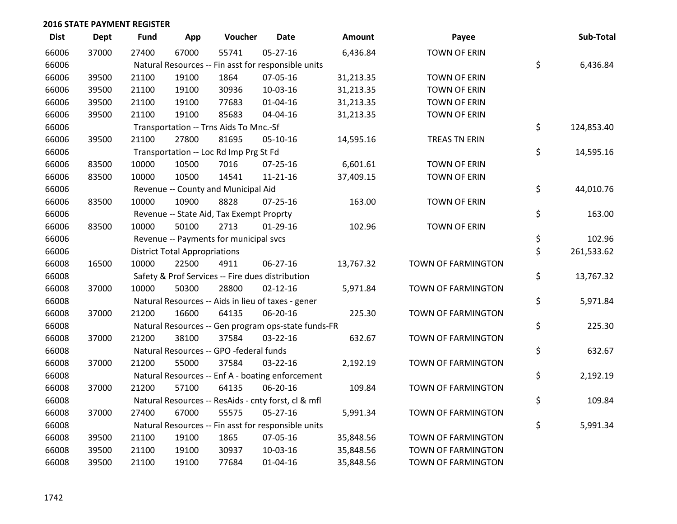| <b>Dist</b> | <b>Dept</b> | <b>Fund</b> | App                                  | Voucher                                             | <b>Date</b>    | <b>Amount</b> | Payee               | Sub-Total        |
|-------------|-------------|-------------|--------------------------------------|-----------------------------------------------------|----------------|---------------|---------------------|------------------|
| 66006       | 37000       | 27400       | 67000                                | 55741                                               | $05 - 27 - 16$ | 6,436.84      | <b>TOWN OF ERIN</b> |                  |
| 66006       |             |             |                                      | Natural Resources -- Fin asst for responsible units |                |               |                     | \$<br>6,436.84   |
| 66006       | 39500       | 21100       | 19100                                | 1864                                                | 07-05-16       | 31,213.35     | <b>TOWN OF ERIN</b> |                  |
| 66006       | 39500       | 21100       | 19100                                | 30936                                               | 10-03-16       | 31,213.35     | <b>TOWN OF ERIN</b> |                  |
| 66006       | 39500       | 21100       | 19100                                | 77683                                               | $01 - 04 - 16$ | 31,213.35     | <b>TOWN OF ERIN</b> |                  |
| 66006       | 39500       | 21100       | 19100                                | 85683                                               | 04-04-16       | 31,213.35     | <b>TOWN OF ERIN</b> |                  |
| 66006       |             |             |                                      | Transportation -- Trns Aids To Mnc.-Sf              |                |               |                     | \$<br>124,853.40 |
| 66006       | 39500       | 21100       | 27800                                | 81695                                               | 05-10-16       | 14,595.16     | TREAS TN ERIN       |                  |
| 66006       |             |             |                                      | Transportation -- Loc Rd Imp Prg St Fd              |                |               |                     | \$<br>14,595.16  |
| 66006       | 83500       | 10000       | 10500                                | 7016                                                | $07 - 25 - 16$ | 6,601.61      | <b>TOWN OF ERIN</b> |                  |
| 66006       | 83500       | 10000       | 10500                                | 14541                                               | $11 - 21 - 16$ | 37,409.15     | <b>TOWN OF ERIN</b> |                  |
| 66006       |             |             |                                      | Revenue -- County and Municipal Aid                 |                |               |                     | \$<br>44,010.76  |
| 66006       | 83500       | 10000       | 10900                                | 8828                                                | $07 - 25 - 16$ | 163.00        | <b>TOWN OF ERIN</b> |                  |
| 66006       |             |             |                                      | Revenue -- State Aid, Tax Exempt Proprty            |                |               |                     | \$<br>163.00     |
| 66006       | 83500       | 10000       | 50100                                | 2713                                                | 01-29-16       | 102.96        | <b>TOWN OF ERIN</b> |                  |
| 66006       |             |             |                                      | Revenue -- Payments for municipal svcs              |                |               |                     | \$<br>102.96     |
| 66006       |             |             | <b>District Total Appropriations</b> |                                                     |                |               |                     | \$<br>261,533.62 |
| 66008       | 16500       | 10000       | 22500                                | 4911                                                | 06-27-16       | 13,767.32     | TOWN OF FARMINGTON  |                  |
| 66008       |             |             |                                      | Safety & Prof Services -- Fire dues distribution    |                |               |                     | \$<br>13,767.32  |
| 66008       | 37000       | 10000       | 50300                                | 28800                                               | $02 - 12 - 16$ | 5,971.84      | TOWN OF FARMINGTON  |                  |
| 66008       |             |             |                                      | Natural Resources -- Aids in lieu of taxes - gener  |                |               |                     | \$<br>5,971.84   |
| 66008       | 37000       | 21200       | 16600                                | 64135                                               | 06-20-16       | 225.30        | TOWN OF FARMINGTON  |                  |
| 66008       |             |             |                                      | Natural Resources -- Gen program ops-state funds-FR |                |               |                     | \$<br>225.30     |
| 66008       | 37000       | 21200       | 38100                                | 37584                                               | 03-22-16       | 632.67        | TOWN OF FARMINGTON  |                  |
| 66008       |             |             |                                      | Natural Resources -- GPO -federal funds             |                |               |                     | \$<br>632.67     |
| 66008       | 37000       | 21200       | 55000                                | 37584                                               | $03 - 22 - 16$ | 2,192.19      | TOWN OF FARMINGTON  |                  |
| 66008       |             |             |                                      | Natural Resources -- Enf A - boating enforcement    |                |               |                     | \$<br>2,192.19   |
| 66008       | 37000       | 21200       | 57100                                | 64135                                               | 06-20-16       | 109.84        | TOWN OF FARMINGTON  |                  |
| 66008       |             |             |                                      | Natural Resources -- ResAids - cnty forst, cl & mfl |                |               |                     | \$<br>109.84     |
| 66008       | 37000       | 27400       | 67000                                | 55575                                               | $05 - 27 - 16$ | 5,991.34      | TOWN OF FARMINGTON  |                  |
| 66008       |             |             |                                      | Natural Resources -- Fin asst for responsible units |                |               |                     | \$<br>5,991.34   |
| 66008       | 39500       | 21100       | 19100                                | 1865                                                | 07-05-16       | 35,848.56     | TOWN OF FARMINGTON  |                  |
| 66008       | 39500       | 21100       | 19100                                | 30937                                               | 10-03-16       | 35,848.56     | TOWN OF FARMINGTON  |                  |
| 66008       | 39500       | 21100       | 19100                                | 77684                                               | 01-04-16       | 35,848.56     | TOWN OF FARMINGTON  |                  |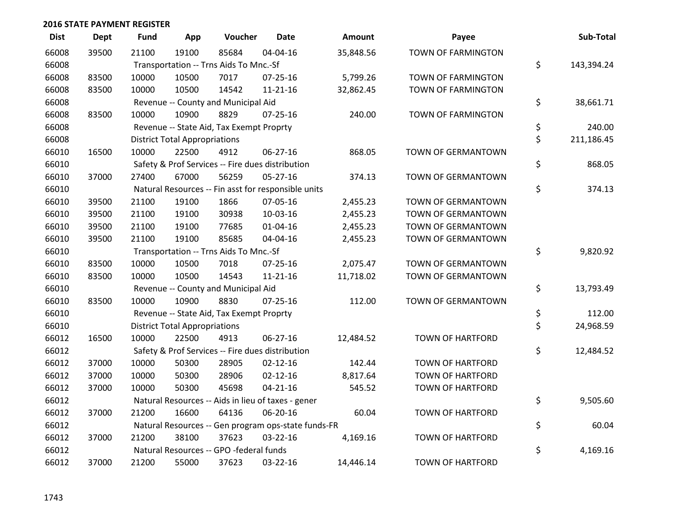| <b>Dist</b> | <b>Dept</b> | <b>Fund</b> | App                                  | Voucher                                             | <b>Date</b>    | <b>Amount</b> | Payee                     | Sub-Total        |
|-------------|-------------|-------------|--------------------------------------|-----------------------------------------------------|----------------|---------------|---------------------------|------------------|
| 66008       | 39500       | 21100       | 19100                                | 85684                                               | 04-04-16       | 35,848.56     | TOWN OF FARMINGTON        |                  |
| 66008       |             |             |                                      | Transportation -- Trns Aids To Mnc.-Sf              |                |               |                           | \$<br>143,394.24 |
| 66008       | 83500       | 10000       | 10500                                | 7017                                                | $07 - 25 - 16$ | 5,799.26      | TOWN OF FARMINGTON        |                  |
| 66008       | 83500       | 10000       | 10500                                | 14542                                               | $11 - 21 - 16$ | 32,862.45     | TOWN OF FARMINGTON        |                  |
| 66008       |             |             |                                      | Revenue -- County and Municipal Aid                 |                |               |                           | \$<br>38,661.71  |
| 66008       | 83500       | 10000       | 10900                                | 8829                                                | $07 - 25 - 16$ | 240.00        | TOWN OF FARMINGTON        |                  |
| 66008       |             |             |                                      | Revenue -- State Aid, Tax Exempt Proprty            |                |               |                           | \$<br>240.00     |
| 66008       |             |             | <b>District Total Appropriations</b> |                                                     |                |               |                           | \$<br>211,186.45 |
| 66010       | 16500       | 10000       | 22500                                | 4912                                                | 06-27-16       | 868.05        | TOWN OF GERMANTOWN        |                  |
| 66010       |             |             |                                      | Safety & Prof Services -- Fire dues distribution    |                |               |                           | \$<br>868.05     |
| 66010       | 37000       | 27400       | 67000                                | 56259                                               | $05 - 27 - 16$ | 374.13        | TOWN OF GERMANTOWN        |                  |
| 66010       |             |             |                                      | Natural Resources -- Fin asst for responsible units |                |               |                           | \$<br>374.13     |
| 66010       | 39500       | 21100       | 19100                                | 1866                                                | 07-05-16       | 2,455.23      | <b>TOWN OF GERMANTOWN</b> |                  |
| 66010       | 39500       | 21100       | 19100                                | 30938                                               | 10-03-16       | 2,455.23      | TOWN OF GERMANTOWN        |                  |
| 66010       | 39500       | 21100       | 19100                                | 77685                                               | $01 - 04 - 16$ | 2,455.23      | TOWN OF GERMANTOWN        |                  |
| 66010       | 39500       | 21100       | 19100                                | 85685                                               | 04-04-16       | 2,455.23      | TOWN OF GERMANTOWN        |                  |
| 66010       |             |             |                                      | Transportation -- Trns Aids To Mnc.-Sf              |                |               |                           | \$<br>9,820.92   |
| 66010       | 83500       | 10000       | 10500                                | 7018                                                | $07 - 25 - 16$ | 2,075.47      | <b>TOWN OF GERMANTOWN</b> |                  |
| 66010       | 83500       | 10000       | 10500                                | 14543                                               | $11 - 21 - 16$ | 11,718.02     | TOWN OF GERMANTOWN        |                  |
| 66010       |             |             |                                      | Revenue -- County and Municipal Aid                 |                |               |                           | \$<br>13,793.49  |
| 66010       | 83500       | 10000       | 10900                                | 8830                                                | $07 - 25 - 16$ | 112.00        | TOWN OF GERMANTOWN        |                  |
| 66010       |             |             |                                      | Revenue -- State Aid, Tax Exempt Proprty            |                |               |                           | \$<br>112.00     |
| 66010       |             |             | <b>District Total Appropriations</b> |                                                     |                |               |                           | \$<br>24,968.59  |
| 66012       | 16500       | 10000       | 22500                                | 4913                                                | 06-27-16       | 12,484.52     | <b>TOWN OF HARTFORD</b>   |                  |
| 66012       |             |             |                                      | Safety & Prof Services -- Fire dues distribution    |                |               |                           | \$<br>12,484.52  |
| 66012       | 37000       | 10000       | 50300                                | 28905                                               | $02 - 12 - 16$ | 142.44        | <b>TOWN OF HARTFORD</b>   |                  |
| 66012       | 37000       | 10000       | 50300                                | 28906                                               | $02 - 12 - 16$ | 8,817.64      | <b>TOWN OF HARTFORD</b>   |                  |
| 66012       | 37000       | 10000       | 50300                                | 45698                                               | $04 - 21 - 16$ | 545.52        | <b>TOWN OF HARTFORD</b>   |                  |
| 66012       |             |             |                                      | Natural Resources -- Aids in lieu of taxes - gener  |                |               |                           | \$<br>9,505.60   |
| 66012       | 37000       | 21200       | 16600                                | 64136                                               | 06-20-16       | 60.04         | <b>TOWN OF HARTFORD</b>   |                  |
| 66012       |             |             |                                      | Natural Resources -- Gen program ops-state funds-FR |                |               |                           | \$<br>60.04      |
| 66012       | 37000       | 21200       | 38100                                | 37623                                               | 03-22-16       | 4,169.16      | <b>TOWN OF HARTFORD</b>   |                  |
| 66012       |             |             |                                      | Natural Resources -- GPO -federal funds             |                |               |                           | \$<br>4,169.16   |
| 66012       | 37000       | 21200       | 55000                                | 37623                                               | 03-22-16       | 14,446.14     | <b>TOWN OF HARTFORD</b>   |                  |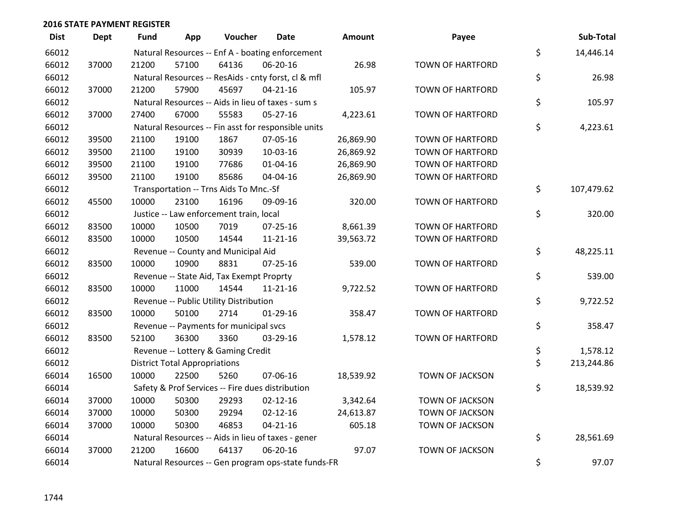| <b>Dist</b> | <b>Dept</b> | Fund  | App                                  | Voucher                                          | Date                                                | <b>Amount</b> | Payee                   | Sub-Total        |
|-------------|-------------|-------|--------------------------------------|--------------------------------------------------|-----------------------------------------------------|---------------|-------------------------|------------------|
| 66012       |             |       |                                      |                                                  | Natural Resources -- Enf A - boating enforcement    |               |                         | \$<br>14,446.14  |
| 66012       | 37000       | 21200 | 57100                                | 64136                                            | 06-20-16                                            | 26.98         | <b>TOWN OF HARTFORD</b> |                  |
| 66012       |             |       |                                      |                                                  | Natural Resources -- ResAids - cnty forst, cl & mfl |               |                         | \$<br>26.98      |
| 66012       | 37000       | 21200 | 57900                                | 45697                                            | $04 - 21 - 16$                                      | 105.97        | <b>TOWN OF HARTFORD</b> |                  |
| 66012       |             |       |                                      |                                                  | Natural Resources -- Aids in lieu of taxes - sum s  |               |                         | \$<br>105.97     |
| 66012       | 37000       | 27400 | 67000                                | 55583                                            | $05 - 27 - 16$                                      | 4,223.61      | <b>TOWN OF HARTFORD</b> |                  |
| 66012       |             |       |                                      |                                                  | Natural Resources -- Fin asst for responsible units |               |                         | \$<br>4,223.61   |
| 66012       | 39500       | 21100 | 19100                                | 1867                                             | 07-05-16                                            | 26,869.90     | <b>TOWN OF HARTFORD</b> |                  |
| 66012       | 39500       | 21100 | 19100                                | 30939                                            | 10-03-16                                            | 26,869.92     | <b>TOWN OF HARTFORD</b> |                  |
| 66012       | 39500       | 21100 | 19100                                | 77686                                            | 01-04-16                                            | 26,869.90     | <b>TOWN OF HARTFORD</b> |                  |
| 66012       | 39500       | 21100 | 19100                                | 85686                                            | 04-04-16                                            | 26,869.90     | <b>TOWN OF HARTFORD</b> |                  |
| 66012       |             |       |                                      | Transportation -- Trns Aids To Mnc.-Sf           |                                                     |               |                         | \$<br>107,479.62 |
| 66012       | 45500       | 10000 | 23100                                | 16196                                            | 09-09-16                                            | 320.00        | <b>TOWN OF HARTFORD</b> |                  |
| 66012       |             |       |                                      | Justice -- Law enforcement train, local          |                                                     |               |                         | \$<br>320.00     |
| 66012       | 83500       | 10000 | 10500                                | 7019                                             | 07-25-16                                            | 8,661.39      | <b>TOWN OF HARTFORD</b> |                  |
| 66012       | 83500       | 10000 | 10500                                | 14544                                            | 11-21-16                                            | 39,563.72     | <b>TOWN OF HARTFORD</b> |                  |
| 66012       |             |       |                                      | Revenue -- County and Municipal Aid              |                                                     |               |                         | \$<br>48,225.11  |
| 66012       | 83500       | 10000 | 10900                                | 8831                                             | $07 - 25 - 16$                                      | 539.00        | <b>TOWN OF HARTFORD</b> |                  |
| 66012       |             |       |                                      | Revenue -- State Aid, Tax Exempt Proprty         |                                                     |               |                         | \$<br>539.00     |
| 66012       | 83500       | 10000 | 11000                                | 14544                                            | $11 - 21 - 16$                                      | 9,722.52      | <b>TOWN OF HARTFORD</b> |                  |
| 66012       |             |       |                                      | Revenue -- Public Utility Distribution           |                                                     |               |                         | \$<br>9,722.52   |
| 66012       | 83500       | 10000 | 50100                                | 2714                                             | $01-29-16$                                          | 358.47        | <b>TOWN OF HARTFORD</b> |                  |
| 66012       |             |       |                                      | Revenue -- Payments for municipal svcs           |                                                     |               |                         | \$<br>358.47     |
| 66012       | 83500       | 52100 | 36300                                | 3360                                             | 03-29-16                                            | 1,578.12      | <b>TOWN OF HARTFORD</b> |                  |
| 66012       |             |       |                                      | Revenue -- Lottery & Gaming Credit               |                                                     |               |                         | \$<br>1,578.12   |
| 66012       |             |       | <b>District Total Appropriations</b> |                                                  |                                                     |               |                         | \$<br>213,244.86 |
| 66014       | 16500       | 10000 | 22500                                | 5260                                             | 07-06-16                                            | 18,539.92     | TOWN OF JACKSON         |                  |
| 66014       |             |       |                                      | Safety & Prof Services -- Fire dues distribution |                                                     |               |                         | \$<br>18,539.92  |
| 66014       | 37000       | 10000 | 50300                                | 29293                                            | $02 - 12 - 16$                                      | 3,342.64      | <b>TOWN OF JACKSON</b>  |                  |
| 66014       | 37000       | 10000 | 50300                                | 29294                                            | $02 - 12 - 16$                                      | 24,613.87     | TOWN OF JACKSON         |                  |
| 66014       | 37000       | 10000 | 50300                                | 46853                                            | $04 - 21 - 16$                                      | 605.18        | TOWN OF JACKSON         |                  |
| 66014       |             |       |                                      |                                                  | Natural Resources -- Aids in lieu of taxes - gener  |               |                         | \$<br>28,561.69  |
| 66014       | 37000       | 21200 | 16600                                | 64137                                            | 06-20-16                                            | 97.07         | <b>TOWN OF JACKSON</b>  |                  |
| 66014       |             |       |                                      |                                                  | Natural Resources -- Gen program ops-state funds-FR |               |                         | \$<br>97.07      |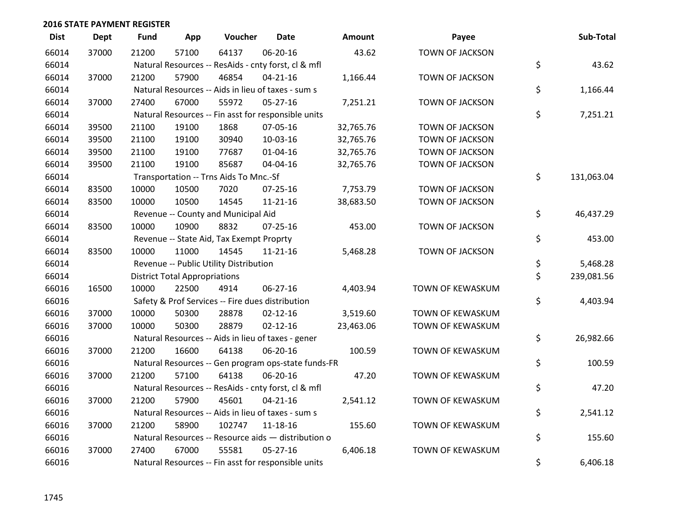| <b>Dist</b> | <b>Dept</b> | <b>Fund</b> | App                                  | Voucher                                          | <b>Date</b>                                         | Amount    | Payee                  | Sub-Total        |
|-------------|-------------|-------------|--------------------------------------|--------------------------------------------------|-----------------------------------------------------|-----------|------------------------|------------------|
| 66014       | 37000       | 21200       | 57100                                | 64137                                            | 06-20-16                                            | 43.62     | <b>TOWN OF JACKSON</b> |                  |
| 66014       |             |             |                                      |                                                  | Natural Resources -- ResAids - cnty forst, cl & mfl |           |                        | \$<br>43.62      |
| 66014       | 37000       | 21200       | 57900                                | 46854                                            | $04 - 21 - 16$                                      | 1,166.44  | <b>TOWN OF JACKSON</b> |                  |
| 66014       |             |             |                                      |                                                  | Natural Resources -- Aids in lieu of taxes - sum s  |           |                        | \$<br>1,166.44   |
| 66014       | 37000       | 27400       | 67000                                | 55972                                            | 05-27-16                                            | 7,251.21  | <b>TOWN OF JACKSON</b> |                  |
| 66014       |             |             |                                      |                                                  | Natural Resources -- Fin asst for responsible units |           |                        | \$<br>7,251.21   |
| 66014       | 39500       | 21100       | 19100                                | 1868                                             | 07-05-16                                            | 32,765.76 | <b>TOWN OF JACKSON</b> |                  |
| 66014       | 39500       | 21100       | 19100                                | 30940                                            | 10-03-16                                            | 32,765.76 | TOWN OF JACKSON        |                  |
| 66014       | 39500       | 21100       | 19100                                | 77687                                            | $01 - 04 - 16$                                      | 32,765.76 | TOWN OF JACKSON        |                  |
| 66014       | 39500       | 21100       | 19100                                | 85687                                            | 04-04-16                                            | 32,765.76 | TOWN OF JACKSON        |                  |
| 66014       |             |             |                                      | Transportation -- Trns Aids To Mnc.-Sf           |                                                     |           |                        | \$<br>131,063.04 |
| 66014       | 83500       | 10000       | 10500                                | 7020                                             | $07 - 25 - 16$                                      | 7,753.79  | <b>TOWN OF JACKSON</b> |                  |
| 66014       | 83500       | 10000       | 10500                                | 14545                                            | $11 - 21 - 16$                                      | 38,683.50 | <b>TOWN OF JACKSON</b> |                  |
| 66014       |             |             |                                      | Revenue -- County and Municipal Aid              |                                                     |           |                        | \$<br>46,437.29  |
| 66014       | 83500       | 10000       | 10900                                | 8832                                             | 07-25-16                                            | 453.00    | <b>TOWN OF JACKSON</b> |                  |
| 66014       |             |             |                                      | Revenue -- State Aid, Tax Exempt Proprty         |                                                     |           |                        | \$<br>453.00     |
| 66014       | 83500       | 10000       | 11000                                | 14545                                            | $11 - 21 - 16$                                      | 5,468.28  | TOWN OF JACKSON        |                  |
| 66014       |             |             |                                      | Revenue -- Public Utility Distribution           |                                                     |           |                        | \$<br>5,468.28   |
| 66014       |             |             | <b>District Total Appropriations</b> |                                                  |                                                     |           |                        | \$<br>239,081.56 |
| 66016       | 16500       | 10000       | 22500                                | 4914                                             | 06-27-16                                            | 4,403.94  | TOWN OF KEWASKUM       |                  |
| 66016       |             |             |                                      | Safety & Prof Services -- Fire dues distribution |                                                     |           |                        | \$<br>4,403.94   |
| 66016       | 37000       | 10000       | 50300                                | 28878                                            | $02 - 12 - 16$                                      | 3,519.60  | TOWN OF KEWASKUM       |                  |
| 66016       | 37000       | 10000       | 50300                                | 28879                                            | $02 - 12 - 16$                                      | 23,463.06 | TOWN OF KEWASKUM       |                  |
| 66016       |             |             |                                      |                                                  | Natural Resources -- Aids in lieu of taxes - gener  |           |                        | \$<br>26,982.66  |
| 66016       | 37000       | 21200       | 16600                                | 64138                                            | 06-20-16                                            | 100.59    | TOWN OF KEWASKUM       |                  |
| 66016       |             |             |                                      |                                                  | Natural Resources -- Gen program ops-state funds-FR |           |                        | \$<br>100.59     |
| 66016       | 37000       | 21200       | 57100                                | 64138                                            | 06-20-16                                            | 47.20     | TOWN OF KEWASKUM       |                  |
| 66016       |             |             |                                      |                                                  | Natural Resources -- ResAids - cnty forst, cl & mfl |           |                        | \$<br>47.20      |
| 66016       | 37000       | 21200       | 57900                                | 45601                                            | $04 - 21 - 16$                                      | 2,541.12  | TOWN OF KEWASKUM       |                  |
| 66016       |             |             |                                      |                                                  | Natural Resources -- Aids in lieu of taxes - sum s  |           |                        | \$<br>2,541.12   |
| 66016       | 37000       | 21200       | 58900                                | 102747                                           | 11-18-16                                            | 155.60    | TOWN OF KEWASKUM       |                  |
| 66016       |             |             |                                      |                                                  | Natural Resources -- Resource aids - distribution o |           |                        | \$<br>155.60     |
| 66016       | 37000       | 27400       | 67000                                | 55581                                            | $05 - 27 - 16$                                      | 6,406.18  | TOWN OF KEWASKUM       |                  |
| 66016       |             |             |                                      |                                                  | Natural Resources -- Fin asst for responsible units |           |                        | \$<br>6,406.18   |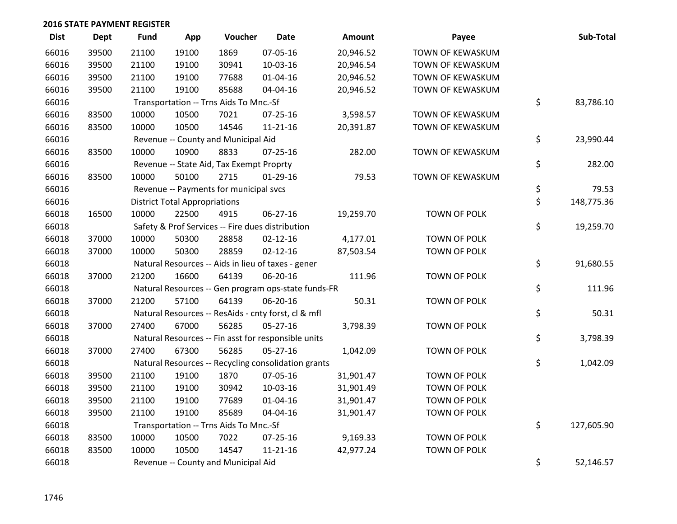| <b>Dist</b> | <b>Dept</b> | <b>Fund</b> | App                                  | Voucher                                  | <b>Date</b>                                         | Amount    | Payee            | Sub-Total        |
|-------------|-------------|-------------|--------------------------------------|------------------------------------------|-----------------------------------------------------|-----------|------------------|------------------|
| 66016       | 39500       | 21100       | 19100                                | 1869                                     | 07-05-16                                            | 20,946.52 | TOWN OF KEWASKUM |                  |
| 66016       | 39500       | 21100       | 19100                                | 30941                                    | 10-03-16                                            | 20,946.54 | TOWN OF KEWASKUM |                  |
| 66016       | 39500       | 21100       | 19100                                | 77688                                    | $01 - 04 - 16$                                      | 20,946.52 | TOWN OF KEWASKUM |                  |
| 66016       | 39500       | 21100       | 19100                                | 85688                                    | 04-04-16                                            | 20,946.52 | TOWN OF KEWASKUM |                  |
| 66016       |             |             |                                      | Transportation -- Trns Aids To Mnc.-Sf   |                                                     |           |                  | \$<br>83,786.10  |
| 66016       | 83500       | 10000       | 10500                                | 7021                                     | 07-25-16                                            | 3,598.57  | TOWN OF KEWASKUM |                  |
| 66016       | 83500       | 10000       | 10500                                | 14546                                    | $11 - 21 - 16$                                      | 20,391.87 | TOWN OF KEWASKUM |                  |
| 66016       |             |             |                                      | Revenue -- County and Municipal Aid      |                                                     |           |                  | \$<br>23,990.44  |
| 66016       | 83500       | 10000       | 10900                                | 8833                                     | $07 - 25 - 16$                                      | 282.00    | TOWN OF KEWASKUM |                  |
| 66016       |             |             |                                      | Revenue -- State Aid, Tax Exempt Proprty |                                                     |           |                  | \$<br>282.00     |
| 66016       | 83500       | 10000       | 50100                                | 2715                                     | 01-29-16                                            | 79.53     | TOWN OF KEWASKUM |                  |
| 66016       |             |             |                                      | Revenue -- Payments for municipal svcs   |                                                     |           |                  | \$<br>79.53      |
| 66016       |             |             | <b>District Total Appropriations</b> |                                          |                                                     |           |                  | \$<br>148,775.36 |
| 66018       | 16500       | 10000       | 22500                                | 4915                                     | 06-27-16                                            | 19,259.70 | TOWN OF POLK     |                  |
| 66018       |             |             |                                      |                                          | Safety & Prof Services -- Fire dues distribution    |           |                  | \$<br>19,259.70  |
| 66018       | 37000       | 10000       | 50300                                | 28858                                    | $02 - 12 - 16$                                      | 4,177.01  | TOWN OF POLK     |                  |
| 66018       | 37000       | 10000       | 50300                                | 28859                                    | $02 - 12 - 16$                                      | 87,503.54 | TOWN OF POLK     |                  |
| 66018       |             |             |                                      |                                          | Natural Resources -- Aids in lieu of taxes - gener  |           |                  | \$<br>91,680.55  |
| 66018       | 37000       | 21200       | 16600                                | 64139                                    | 06-20-16                                            | 111.96    | TOWN OF POLK     |                  |
| 66018       |             |             |                                      |                                          | Natural Resources -- Gen program ops-state funds-FR |           |                  | \$<br>111.96     |
| 66018       | 37000       | 21200       | 57100                                | 64139                                    | 06-20-16                                            | 50.31     | TOWN OF POLK     |                  |
| 66018       |             |             |                                      |                                          | Natural Resources -- ResAids - cnty forst, cl & mfl |           |                  | \$<br>50.31      |
| 66018       | 37000       | 27400       | 67000                                | 56285                                    | $05 - 27 - 16$                                      | 3,798.39  | TOWN OF POLK     |                  |
| 66018       |             |             |                                      |                                          | Natural Resources -- Fin asst for responsible units |           |                  | \$<br>3,798.39   |
| 66018       | 37000       | 27400       | 67300                                | 56285                                    | 05-27-16                                            | 1,042.09  | TOWN OF POLK     |                  |
| 66018       |             |             |                                      |                                          | Natural Resources -- Recycling consolidation grants |           |                  | \$<br>1,042.09   |
| 66018       | 39500       | 21100       | 19100                                | 1870                                     | 07-05-16                                            | 31,901.47 | TOWN OF POLK     |                  |
| 66018       | 39500       | 21100       | 19100                                | 30942                                    | 10-03-16                                            | 31,901.49 | TOWN OF POLK     |                  |
| 66018       | 39500       | 21100       | 19100                                | 77689                                    | $01 - 04 - 16$                                      | 31,901.47 | TOWN OF POLK     |                  |
| 66018       | 39500       | 21100       | 19100                                | 85689                                    | 04-04-16                                            | 31,901.47 | TOWN OF POLK     |                  |
| 66018       |             |             |                                      | Transportation -- Trns Aids To Mnc.-Sf   |                                                     |           |                  | \$<br>127,605.90 |
| 66018       | 83500       | 10000       | 10500                                | 7022                                     | $07 - 25 - 16$                                      | 9,169.33  | TOWN OF POLK     |                  |
| 66018       | 83500       | 10000       | 10500                                | 14547                                    | $11 - 21 - 16$                                      | 42,977.24 | TOWN OF POLK     |                  |
| 66018       |             |             |                                      | Revenue -- County and Municipal Aid      |                                                     |           |                  | \$<br>52,146.57  |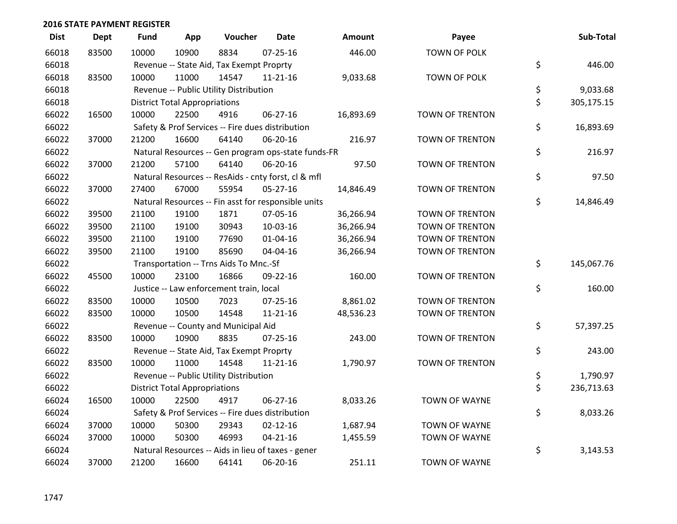| <b>Dist</b> | <b>Dept</b> | <b>Fund</b> | App                                  | Voucher                                  | <b>Date</b>                                         | <b>Amount</b> | Payee                  | Sub-Total        |
|-------------|-------------|-------------|--------------------------------------|------------------------------------------|-----------------------------------------------------|---------------|------------------------|------------------|
| 66018       | 83500       | 10000       | 10900                                | 8834                                     | $07 - 25 - 16$                                      | 446.00        | TOWN OF POLK           |                  |
| 66018       |             |             |                                      | Revenue -- State Aid, Tax Exempt Proprty |                                                     |               |                        | \$<br>446.00     |
| 66018       | 83500       | 10000       | 11000                                | 14547                                    | $11 - 21 - 16$                                      | 9,033.68      | TOWN OF POLK           |                  |
| 66018       |             |             |                                      | Revenue -- Public Utility Distribution   |                                                     |               |                        | \$<br>9,033.68   |
| 66018       |             |             | <b>District Total Appropriations</b> |                                          |                                                     |               |                        | \$<br>305,175.15 |
| 66022       | 16500       | 10000       | 22500                                | 4916                                     | 06-27-16                                            | 16,893.69     | <b>TOWN OF TRENTON</b> |                  |
| 66022       |             |             |                                      |                                          | Safety & Prof Services -- Fire dues distribution    |               |                        | \$<br>16,893.69  |
| 66022       | 37000       | 21200       | 16600                                | 64140                                    | 06-20-16                                            | 216.97        | <b>TOWN OF TRENTON</b> |                  |
| 66022       |             |             |                                      |                                          | Natural Resources -- Gen program ops-state funds-FR |               |                        | \$<br>216.97     |
| 66022       | 37000       | 21200       | 57100                                | 64140                                    | 06-20-16                                            | 97.50         | TOWN OF TRENTON        |                  |
| 66022       |             |             |                                      |                                          | Natural Resources -- ResAids - cnty forst, cl & mfl |               |                        | \$<br>97.50      |
| 66022       | 37000       | 27400       | 67000                                | 55954                                    | 05-27-16                                            | 14,846.49     | <b>TOWN OF TRENTON</b> |                  |
| 66022       |             |             |                                      |                                          | Natural Resources -- Fin asst for responsible units |               |                        | \$<br>14,846.49  |
| 66022       | 39500       | 21100       | 19100                                | 1871                                     | 07-05-16                                            | 36,266.94     | TOWN OF TRENTON        |                  |
| 66022       | 39500       | 21100       | 19100                                | 30943                                    | 10-03-16                                            | 36,266.94     | TOWN OF TRENTON        |                  |
| 66022       | 39500       | 21100       | 19100                                | 77690                                    | $01 - 04 - 16$                                      | 36,266.94     | TOWN OF TRENTON        |                  |
| 66022       | 39500       | 21100       | 19100                                | 85690                                    | 04-04-16                                            | 36,266.94     | <b>TOWN OF TRENTON</b> |                  |
| 66022       |             |             |                                      | Transportation -- Trns Aids To Mnc.-Sf   |                                                     |               |                        | \$<br>145,067.76 |
| 66022       | 45500       | 10000       | 23100                                | 16866                                    | 09-22-16                                            | 160.00        | TOWN OF TRENTON        |                  |
| 66022       |             |             |                                      | Justice -- Law enforcement train, local  |                                                     |               |                        | \$<br>160.00     |
| 66022       | 83500       | 10000       | 10500                                | 7023                                     | $07 - 25 - 16$                                      | 8,861.02      | TOWN OF TRENTON        |                  |
| 66022       | 83500       | 10000       | 10500                                | 14548                                    | $11 - 21 - 16$                                      | 48,536.23     | TOWN OF TRENTON        |                  |
| 66022       |             |             |                                      | Revenue -- County and Municipal Aid      |                                                     |               |                        | \$<br>57,397.25  |
| 66022       | 83500       | 10000       | 10900                                | 8835                                     | $07 - 25 - 16$                                      | 243.00        | <b>TOWN OF TRENTON</b> |                  |
| 66022       |             |             |                                      | Revenue -- State Aid, Tax Exempt Proprty |                                                     |               |                        | \$<br>243.00     |
| 66022       | 83500       | 10000       | 11000                                | 14548                                    | $11 - 21 - 16$                                      | 1,790.97      | TOWN OF TRENTON        |                  |
| 66022       |             |             |                                      | Revenue -- Public Utility Distribution   |                                                     |               |                        | \$<br>1,790.97   |
| 66022       |             |             | <b>District Total Appropriations</b> |                                          |                                                     |               |                        | \$<br>236,713.63 |
| 66024       | 16500       | 10000       | 22500                                | 4917                                     | 06-27-16                                            | 8,033.26      | <b>TOWN OF WAYNE</b>   |                  |
| 66024       |             |             |                                      |                                          | Safety & Prof Services -- Fire dues distribution    |               |                        | \$<br>8,033.26   |
| 66024       | 37000       | 10000       | 50300                                | 29343                                    | $02 - 12 - 16$                                      | 1,687.94      | <b>TOWN OF WAYNE</b>   |                  |
| 66024       | 37000       | 10000       | 50300                                | 46993                                    | $04 - 21 - 16$                                      | 1,455.59      | <b>TOWN OF WAYNE</b>   |                  |
| 66024       |             |             |                                      |                                          | Natural Resources -- Aids in lieu of taxes - gener  |               |                        | \$<br>3,143.53   |
| 66024       | 37000       | 21200       | 16600                                | 64141                                    | 06-20-16                                            | 251.11        | <b>TOWN OF WAYNE</b>   |                  |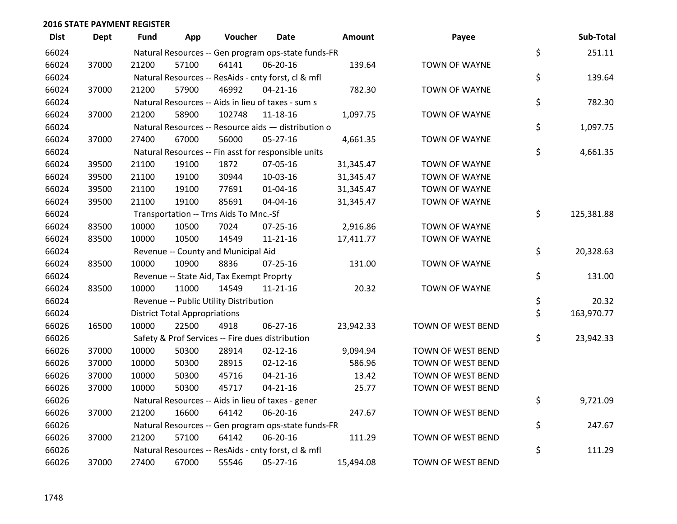| <b>Dist</b> | <b>Dept</b> | <b>Fund</b> | App                                  | Voucher                                             | <b>Date</b>    | <b>Amount</b> | Payee                | Sub-Total        |
|-------------|-------------|-------------|--------------------------------------|-----------------------------------------------------|----------------|---------------|----------------------|------------------|
| 66024       |             |             |                                      | Natural Resources -- Gen program ops-state funds-FR |                |               |                      | \$<br>251.11     |
| 66024       | 37000       | 21200       | 57100                                | 64141                                               | 06-20-16       | 139.64        | <b>TOWN OF WAYNE</b> |                  |
| 66024       |             |             |                                      | Natural Resources -- ResAids - cnty forst, cl & mfl |                |               |                      | \$<br>139.64     |
| 66024       | 37000       | 21200       | 57900                                | 46992                                               | $04 - 21 - 16$ | 782.30        | <b>TOWN OF WAYNE</b> |                  |
| 66024       |             |             |                                      | Natural Resources -- Aids in lieu of taxes - sum s  |                |               |                      | \$<br>782.30     |
| 66024       | 37000       | 21200       | 58900                                | 102748                                              | 11-18-16       | 1,097.75      | <b>TOWN OF WAYNE</b> |                  |
| 66024       |             |             |                                      | Natural Resources -- Resource aids - distribution o |                |               |                      | \$<br>1,097.75   |
| 66024       | 37000       | 27400       | 67000                                | 56000                                               | $05 - 27 - 16$ | 4,661.35      | <b>TOWN OF WAYNE</b> |                  |
| 66024       |             |             |                                      | Natural Resources -- Fin asst for responsible units |                |               |                      | \$<br>4,661.35   |
| 66024       | 39500       | 21100       | 19100                                | 1872                                                | 07-05-16       | 31,345.47     | <b>TOWN OF WAYNE</b> |                  |
| 66024       | 39500       | 21100       | 19100                                | 30944                                               | 10-03-16       | 31,345.47     | <b>TOWN OF WAYNE</b> |                  |
| 66024       | 39500       | 21100       | 19100                                | 77691                                               | $01 - 04 - 16$ | 31,345.47     | <b>TOWN OF WAYNE</b> |                  |
| 66024       | 39500       | 21100       | 19100                                | 85691                                               | 04-04-16       | 31,345.47     | <b>TOWN OF WAYNE</b> |                  |
| 66024       |             |             |                                      | Transportation -- Trns Aids To Mnc.-Sf              |                |               |                      | \$<br>125,381.88 |
| 66024       | 83500       | 10000       | 10500                                | 7024                                                | $07 - 25 - 16$ | 2,916.86      | <b>TOWN OF WAYNE</b> |                  |
| 66024       | 83500       | 10000       | 10500                                | 14549                                               | 11-21-16       | 17,411.77     | <b>TOWN OF WAYNE</b> |                  |
| 66024       |             |             |                                      | Revenue -- County and Municipal Aid                 |                |               |                      | \$<br>20,328.63  |
| 66024       | 83500       | 10000       | 10900                                | 8836                                                | 07-25-16       | 131.00        | <b>TOWN OF WAYNE</b> |                  |
| 66024       |             |             |                                      | Revenue -- State Aid, Tax Exempt Proprty            |                |               |                      | \$<br>131.00     |
| 66024       | 83500       | 10000       | 11000                                | 14549                                               | $11 - 21 - 16$ | 20.32         | <b>TOWN OF WAYNE</b> |                  |
| 66024       |             |             |                                      | Revenue -- Public Utility Distribution              |                |               |                      | \$<br>20.32      |
| 66024       |             |             | <b>District Total Appropriations</b> |                                                     |                |               |                      | \$<br>163,970.77 |
| 66026       | 16500       | 10000       | 22500                                | 4918                                                | $06 - 27 - 16$ | 23,942.33     | TOWN OF WEST BEND    |                  |
| 66026       |             |             |                                      | Safety & Prof Services -- Fire dues distribution    |                |               |                      | \$<br>23,942.33  |
| 66026       | 37000       | 10000       | 50300                                | 28914                                               | $02 - 12 - 16$ | 9,094.94      | TOWN OF WEST BEND    |                  |
| 66026       | 37000       | 10000       | 50300                                | 28915                                               | $02 - 12 - 16$ | 586.96        | TOWN OF WEST BEND    |                  |
| 66026       | 37000       | 10000       | 50300                                | 45716                                               | $04 - 21 - 16$ | 13.42         | TOWN OF WEST BEND    |                  |
| 66026       | 37000       | 10000       | 50300                                | 45717                                               | $04 - 21 - 16$ | 25.77         | TOWN OF WEST BEND    |                  |
| 66026       |             |             |                                      | Natural Resources -- Aids in lieu of taxes - gener  |                |               |                      | \$<br>9,721.09   |
| 66026       | 37000       | 21200       | 16600                                | 64142                                               | 06-20-16       | 247.67        | TOWN OF WEST BEND    |                  |
| 66026       |             |             |                                      | Natural Resources -- Gen program ops-state funds-FR |                |               |                      | \$<br>247.67     |
| 66026       | 37000       | 21200       | 57100                                | 64142                                               | 06-20-16       | 111.29        | TOWN OF WEST BEND    |                  |
| 66026       |             |             |                                      | Natural Resources -- ResAids - cnty forst, cl & mfl |                |               |                      | \$<br>111.29     |
| 66026       | 37000       | 27400       | 67000                                | 55546                                               | 05-27-16       | 15,494.08     | TOWN OF WEST BEND    |                  |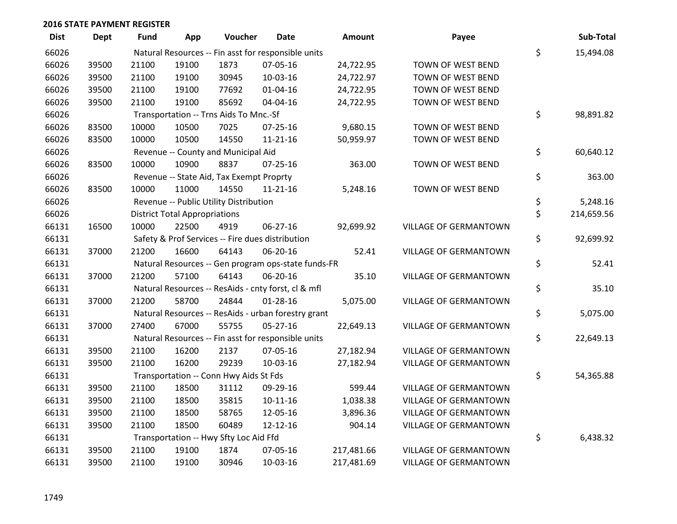| <b>Dist</b> | Dept  | <b>Fund</b> | App                                  | Voucher                                  | <b>Date</b>                                         | <b>Amount</b> | Payee                        | Sub-Total        |
|-------------|-------|-------------|--------------------------------------|------------------------------------------|-----------------------------------------------------|---------------|------------------------------|------------------|
| 66026       |       |             |                                      |                                          | Natural Resources -- Fin asst for responsible units |               |                              | \$<br>15,494.08  |
| 66026       | 39500 | 21100       | 19100                                | 1873                                     | 07-05-16                                            | 24,722.95     | TOWN OF WEST BEND            |                  |
| 66026       | 39500 | 21100       | 19100                                | 30945                                    | 10-03-16                                            | 24,722.97     | TOWN OF WEST BEND            |                  |
| 66026       | 39500 | 21100       | 19100                                | 77692                                    | $01 - 04 - 16$                                      | 24,722.95     | TOWN OF WEST BEND            |                  |
| 66026       | 39500 | 21100       | 19100                                | 85692                                    | 04-04-16                                            | 24,722.95     | TOWN OF WEST BEND            |                  |
| 66026       |       |             |                                      | Transportation -- Trns Aids To Mnc.-Sf   |                                                     |               |                              | \$<br>98,891.82  |
| 66026       | 83500 | 10000       | 10500                                | 7025                                     | $07 - 25 - 16$                                      | 9,680.15      | TOWN OF WEST BEND            |                  |
| 66026       | 83500 | 10000       | 10500                                | 14550                                    | $11 - 21 - 16$                                      | 50,959.97     | TOWN OF WEST BEND            |                  |
| 66026       |       |             |                                      | Revenue -- County and Municipal Aid      |                                                     |               |                              | \$<br>60,640.12  |
| 66026       | 83500 | 10000       | 10900                                | 8837                                     | $07 - 25 - 16$                                      | 363.00        | TOWN OF WEST BEND            |                  |
| 66026       |       |             |                                      | Revenue -- State Aid, Tax Exempt Proprty |                                                     |               |                              | \$<br>363.00     |
| 66026       | 83500 | 10000       | 11000                                | 14550                                    | $11 - 21 - 16$                                      | 5,248.16      | TOWN OF WEST BEND            |                  |
| 66026       |       |             |                                      | Revenue -- Public Utility Distribution   |                                                     |               |                              | \$<br>5,248.16   |
| 66026       |       |             | <b>District Total Appropriations</b> |                                          |                                                     |               |                              | \$<br>214,659.56 |
| 66131       | 16500 | 10000       | 22500                                | 4919                                     | 06-27-16                                            | 92,699.92     | <b>VILLAGE OF GERMANTOWN</b> |                  |
| 66131       |       |             |                                      |                                          | Safety & Prof Services -- Fire dues distribution    |               |                              | \$<br>92,699.92  |
| 66131       | 37000 | 21200       | 16600                                | 64143                                    | 06-20-16                                            | 52.41         | VILLAGE OF GERMANTOWN        |                  |
| 66131       |       |             |                                      |                                          | Natural Resources -- Gen program ops-state funds-FR |               |                              | \$<br>52.41      |
| 66131       | 37000 | 21200       | 57100                                | 64143                                    | 06-20-16                                            | 35.10         | <b>VILLAGE OF GERMANTOWN</b> |                  |
| 66131       |       |             |                                      |                                          | Natural Resources -- ResAids - cnty forst, cl & mfl |               |                              | \$<br>35.10      |
| 66131       | 37000 | 21200       | 58700                                | 24844                                    | $01 - 28 - 16$                                      | 5,075.00      | <b>VILLAGE OF GERMANTOWN</b> |                  |
| 66131       |       |             |                                      |                                          | Natural Resources -- ResAids - urban forestry grant |               |                              | \$<br>5,075.00   |
| 66131       | 37000 | 27400       | 67000                                | 55755                                    | $05 - 27 - 16$                                      | 22,649.13     | <b>VILLAGE OF GERMANTOWN</b> |                  |
| 66131       |       |             |                                      |                                          | Natural Resources -- Fin asst for responsible units |               |                              | \$<br>22,649.13  |
| 66131       | 39500 | 21100       | 16200                                | 2137                                     | 07-05-16                                            | 27,182.94     | <b>VILLAGE OF GERMANTOWN</b> |                  |
| 66131       | 39500 | 21100       | 16200                                | 29239                                    | 10-03-16                                            | 27,182.94     | <b>VILLAGE OF GERMANTOWN</b> |                  |
| 66131       |       |             |                                      | Transportation -- Conn Hwy Aids St Fds   |                                                     |               |                              | \$<br>54,365.88  |
| 66131       | 39500 | 21100       | 18500                                | 31112                                    | 09-29-16                                            | 599.44        | <b>VILLAGE OF GERMANTOWN</b> |                  |
| 66131       | 39500 | 21100       | 18500                                | 35815                                    | $10 - 11 - 16$                                      | 1,038.38      | VILLAGE OF GERMANTOWN        |                  |
| 66131       | 39500 | 21100       | 18500                                | 58765                                    | 12-05-16                                            | 3,896.36      | VILLAGE OF GERMANTOWN        |                  |
| 66131       | 39500 | 21100       | 18500                                | 60489                                    | 12-12-16                                            | 904.14        | VILLAGE OF GERMANTOWN        |                  |
| 66131       |       |             |                                      | Transportation -- Hwy Sfty Loc Aid Ffd   |                                                     |               |                              | \$<br>6,438.32   |
| 66131       | 39500 | 21100       | 19100                                | 1874                                     | 07-05-16                                            | 217,481.66    | <b>VILLAGE OF GERMANTOWN</b> |                  |
| 66131       | 39500 | 21100       | 19100                                | 30946                                    | 10-03-16                                            | 217,481.69    | <b>VILLAGE OF GERMANTOWN</b> |                  |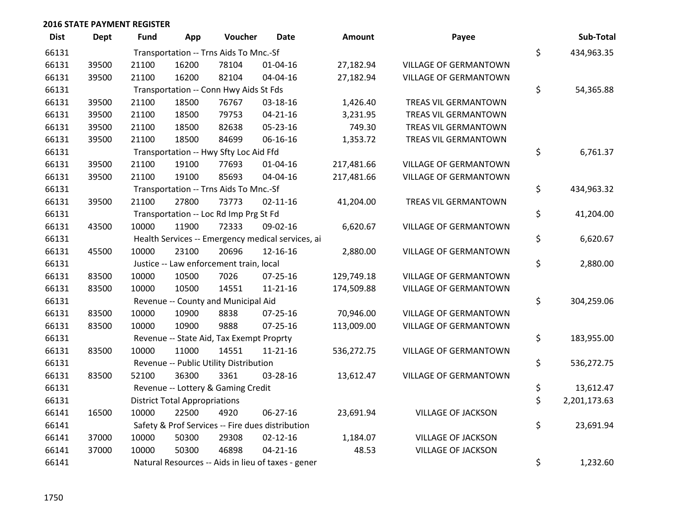| <b>Dist</b> | <b>Dept</b> | <b>Fund</b> | App                                  | Voucher                                  | <b>Date</b>                                        | <b>Amount</b> | Payee                        | Sub-Total          |
|-------------|-------------|-------------|--------------------------------------|------------------------------------------|----------------------------------------------------|---------------|------------------------------|--------------------|
| 66131       |             |             |                                      | Transportation -- Trns Aids To Mnc.-Sf   |                                                    |               |                              | \$<br>434,963.35   |
| 66131       | 39500       | 21100       | 16200                                | 78104                                    | 01-04-16                                           | 27,182.94     | <b>VILLAGE OF GERMANTOWN</b> |                    |
| 66131       | 39500       | 21100       | 16200                                | 82104                                    | 04-04-16                                           | 27,182.94     | VILLAGE OF GERMANTOWN        |                    |
| 66131       |             |             |                                      | Transportation -- Conn Hwy Aids St Fds   |                                                    |               |                              | \$<br>54,365.88    |
| 66131       | 39500       | 21100       | 18500                                | 76767                                    | 03-18-16                                           | 1,426.40      | TREAS VIL GERMANTOWN         |                    |
| 66131       | 39500       | 21100       | 18500                                | 79753                                    | $04 - 21 - 16$                                     | 3,231.95      | TREAS VIL GERMANTOWN         |                    |
| 66131       | 39500       | 21100       | 18500                                | 82638                                    | 05-23-16                                           | 749.30        | TREAS VIL GERMANTOWN         |                    |
| 66131       | 39500       | 21100       | 18500                                | 84699                                    | 06-16-16                                           | 1,353.72      | TREAS VIL GERMANTOWN         |                    |
| 66131       |             |             |                                      | Transportation -- Hwy Sfty Loc Aid Ffd   |                                                    |               |                              | \$<br>6,761.37     |
| 66131       | 39500       | 21100       | 19100                                | 77693                                    | $01 - 04 - 16$                                     | 217,481.66    | <b>VILLAGE OF GERMANTOWN</b> |                    |
| 66131       | 39500       | 21100       | 19100                                | 85693                                    | 04-04-16                                           | 217,481.66    | VILLAGE OF GERMANTOWN        |                    |
| 66131       |             |             |                                      | Transportation -- Trns Aids To Mnc.-Sf   |                                                    |               |                              | \$<br>434,963.32   |
| 66131       | 39500       | 21100       | 27800                                | 73773                                    | $02 - 11 - 16$                                     | 41,204.00     | TREAS VIL GERMANTOWN         |                    |
| 66131       |             |             |                                      | Transportation -- Loc Rd Imp Prg St Fd   |                                                    |               |                              | \$<br>41,204.00    |
| 66131       | 43500       | 10000       | 11900                                | 72333                                    | 09-02-16                                           | 6,620.67      | <b>VILLAGE OF GERMANTOWN</b> |                    |
| 66131       |             |             |                                      |                                          | Health Services -- Emergency medical services, ai  |               |                              | \$<br>6,620.67     |
| 66131       | 45500       | 10000       | 23100                                | 20696                                    | 12-16-16                                           | 2,880.00      | <b>VILLAGE OF GERMANTOWN</b> |                    |
| 66131       |             |             |                                      | Justice -- Law enforcement train, local  |                                                    |               |                              | \$<br>2,880.00     |
| 66131       | 83500       | 10000       | 10500                                | 7026                                     | $07 - 25 - 16$                                     | 129,749.18    | <b>VILLAGE OF GERMANTOWN</b> |                    |
| 66131       | 83500       | 10000       | 10500                                | 14551                                    | $11 - 21 - 16$                                     | 174,509.88    | <b>VILLAGE OF GERMANTOWN</b> |                    |
| 66131       |             |             |                                      | Revenue -- County and Municipal Aid      |                                                    |               |                              | \$<br>304,259.06   |
| 66131       | 83500       | 10000       | 10900                                | 8838                                     | $07 - 25 - 16$                                     | 70,946.00     | <b>VILLAGE OF GERMANTOWN</b> |                    |
| 66131       | 83500       | 10000       | 10900                                | 9888                                     | $07 - 25 - 16$                                     | 113,009.00    | <b>VILLAGE OF GERMANTOWN</b> |                    |
| 66131       |             |             |                                      | Revenue -- State Aid, Tax Exempt Proprty |                                                    |               |                              | \$<br>183,955.00   |
| 66131       | 83500       | 10000       | 11000                                | 14551                                    | $11 - 21 - 16$                                     | 536,272.75    | <b>VILLAGE OF GERMANTOWN</b> |                    |
| 66131       |             |             |                                      | Revenue -- Public Utility Distribution   |                                                    |               |                              | \$<br>536,272.75   |
| 66131       | 83500       | 52100       | 36300                                | 3361                                     | 03-28-16                                           | 13,612.47     | <b>VILLAGE OF GERMANTOWN</b> |                    |
| 66131       |             |             |                                      | Revenue -- Lottery & Gaming Credit       |                                                    |               |                              | \$<br>13,612.47    |
| 66131       |             |             | <b>District Total Appropriations</b> |                                          |                                                    |               |                              | \$<br>2,201,173.63 |
| 66141       | 16500       | 10000       | 22500                                | 4920                                     | 06-27-16                                           | 23,691.94     | <b>VILLAGE OF JACKSON</b>    |                    |
| 66141       |             |             |                                      |                                          | Safety & Prof Services -- Fire dues distribution   |               |                              | \$<br>23,691.94    |
| 66141       | 37000       | 10000       | 50300                                | 29308                                    | $02 - 12 - 16$                                     | 1,184.07      | <b>VILLAGE OF JACKSON</b>    |                    |
| 66141       | 37000       | 10000       | 50300                                | 46898                                    | $04 - 21 - 16$                                     | 48.53         | <b>VILLAGE OF JACKSON</b>    |                    |
| 66141       |             |             |                                      |                                          | Natural Resources -- Aids in lieu of taxes - gener |               |                              | \$<br>1,232.60     |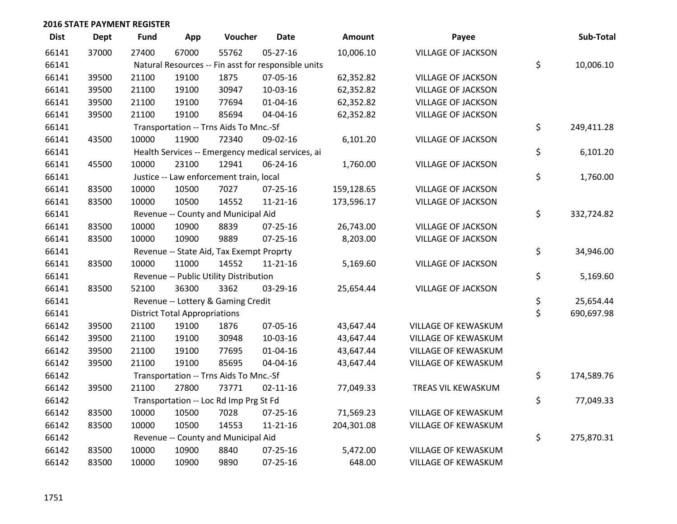| <b>Dist</b> | <b>Dept</b> | <b>Fund</b> | App                                  | Voucher                                             | <b>Date</b>    | <b>Amount</b> | Payee                     | Sub-Total        |
|-------------|-------------|-------------|--------------------------------------|-----------------------------------------------------|----------------|---------------|---------------------------|------------------|
| 66141       | 37000       | 27400       | 67000                                | 55762                                               | $05 - 27 - 16$ | 10,006.10     | <b>VILLAGE OF JACKSON</b> |                  |
| 66141       |             |             |                                      | Natural Resources -- Fin asst for responsible units |                |               |                           | \$<br>10,006.10  |
| 66141       | 39500       | 21100       | 19100                                | 1875                                                | 07-05-16       | 62,352.82     | <b>VILLAGE OF JACKSON</b> |                  |
| 66141       | 39500       | 21100       | 19100                                | 30947                                               | 10-03-16       | 62,352.82     | <b>VILLAGE OF JACKSON</b> |                  |
| 66141       | 39500       | 21100       | 19100                                | 77694                                               | $01 - 04 - 16$ | 62,352.82     | <b>VILLAGE OF JACKSON</b> |                  |
| 66141       | 39500       | 21100       | 19100                                | 85694                                               | 04-04-16       | 62,352.82     | <b>VILLAGE OF JACKSON</b> |                  |
| 66141       |             |             |                                      | Transportation -- Trns Aids To Mnc.-Sf              |                |               |                           | \$<br>249,411.28 |
| 66141       | 43500       | 10000       | 11900                                | 72340                                               | 09-02-16       | 6,101.20      | <b>VILLAGE OF JACKSON</b> |                  |
| 66141       |             |             |                                      | Health Services -- Emergency medical services, ai   |                |               |                           | \$<br>6,101.20   |
| 66141       | 45500       | 10000       | 23100                                | 12941                                               | 06-24-16       | 1,760.00      | <b>VILLAGE OF JACKSON</b> |                  |
| 66141       |             |             |                                      | Justice -- Law enforcement train, local             |                |               |                           | \$<br>1,760.00   |
| 66141       | 83500       | 10000       | 10500                                | 7027                                                | $07 - 25 - 16$ | 159,128.65    | <b>VILLAGE OF JACKSON</b> |                  |
| 66141       | 83500       | 10000       | 10500                                | 14552                                               | $11 - 21 - 16$ | 173,596.17    | <b>VILLAGE OF JACKSON</b> |                  |
| 66141       |             |             |                                      | Revenue -- County and Municipal Aid                 |                |               |                           | \$<br>332,724.82 |
| 66141       | 83500       | 10000       | 10900                                | 8839                                                | $07 - 25 - 16$ | 26,743.00     | <b>VILLAGE OF JACKSON</b> |                  |
| 66141       | 83500       | 10000       | 10900                                | 9889                                                | $07 - 25 - 16$ | 8,203.00      | <b>VILLAGE OF JACKSON</b> |                  |
| 66141       |             |             |                                      | Revenue -- State Aid, Tax Exempt Proprty            |                |               |                           | \$<br>34,946.00  |
| 66141       | 83500       | 10000       | 11000                                | 14552                                               | 11-21-16       | 5,169.60      | <b>VILLAGE OF JACKSON</b> |                  |
| 66141       |             |             |                                      | Revenue -- Public Utility Distribution              |                |               |                           | \$<br>5,169.60   |
| 66141       | 83500       | 52100       | 36300                                | 3362                                                | 03-29-16       | 25,654.44     | <b>VILLAGE OF JACKSON</b> |                  |
| 66141       |             |             |                                      | Revenue -- Lottery & Gaming Credit                  |                |               |                           | \$<br>25,654.44  |
| 66141       |             |             | <b>District Total Appropriations</b> |                                                     |                |               |                           | \$<br>690,697.98 |
| 66142       | 39500       | 21100       | 19100                                | 1876                                                | 07-05-16       | 43,647.44     | VILLAGE OF KEWASKUM       |                  |
| 66142       | 39500       | 21100       | 19100                                | 30948                                               | 10-03-16       | 43,647.44     | VILLAGE OF KEWASKUM       |                  |
| 66142       | 39500       | 21100       | 19100                                | 77695                                               | $01 - 04 - 16$ | 43,647.44     | VILLAGE OF KEWASKUM       |                  |
| 66142       | 39500       | 21100       | 19100                                | 85695                                               | 04-04-16       | 43,647.44     | VILLAGE OF KEWASKUM       |                  |
| 66142       |             |             |                                      | Transportation -- Trns Aids To Mnc.-Sf              |                |               |                           | \$<br>174,589.76 |
| 66142       | 39500       | 21100       | 27800                                | 73771                                               | $02 - 11 - 16$ | 77,049.33     | TREAS VIL KEWASKUM        |                  |
| 66142       |             |             |                                      | Transportation -- Loc Rd Imp Prg St Fd              |                |               |                           | \$<br>77,049.33  |
| 66142       | 83500       | 10000       | 10500                                | 7028                                                | $07 - 25 - 16$ | 71,569.23     | VILLAGE OF KEWASKUM       |                  |
| 66142       | 83500       | 10000       | 10500                                | 14553                                               | $11 - 21 - 16$ | 204,301.08    | VILLAGE OF KEWASKUM       |                  |
| 66142       |             |             |                                      | Revenue -- County and Municipal Aid                 |                |               |                           | \$<br>275,870.31 |
| 66142       | 83500       | 10000       | 10900                                | 8840                                                | $07 - 25 - 16$ | 5,472.00      | VILLAGE OF KEWASKUM       |                  |
| 66142       | 83500       | 10000       | 10900                                | 9890                                                | 07-25-16       | 648.00        | VILLAGE OF KEWASKUM       |                  |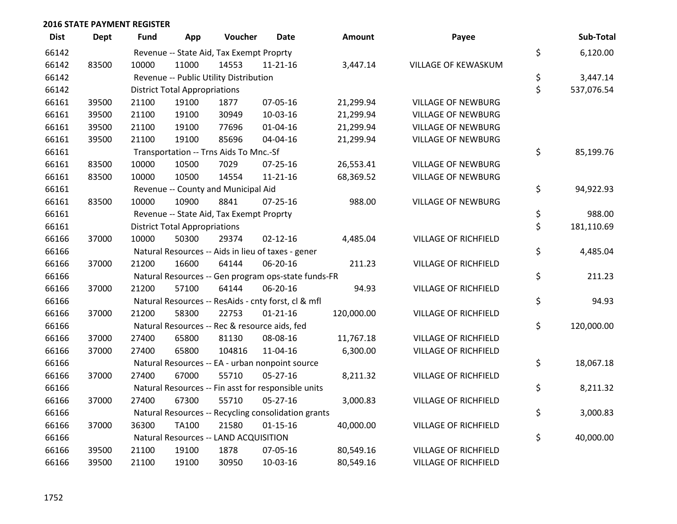| <b>Dist</b> | <b>Dept</b> | Fund  | App                                  | Voucher                                             | Date           | <b>Amount</b> | Payee                       | Sub-Total        |
|-------------|-------------|-------|--------------------------------------|-----------------------------------------------------|----------------|---------------|-----------------------------|------------------|
| 66142       |             |       |                                      | Revenue -- State Aid, Tax Exempt Proprty            |                |               |                             | \$<br>6,120.00   |
| 66142       | 83500       | 10000 | 11000                                | 14553                                               | $11 - 21 - 16$ | 3,447.14      | VILLAGE OF KEWASKUM         |                  |
| 66142       |             |       |                                      | Revenue -- Public Utility Distribution              |                |               |                             | \$<br>3,447.14   |
| 66142       |             |       | <b>District Total Appropriations</b> |                                                     |                |               |                             | \$<br>537,076.54 |
| 66161       | 39500       | 21100 | 19100                                | 1877                                                | 07-05-16       | 21,299.94     | <b>VILLAGE OF NEWBURG</b>   |                  |
| 66161       | 39500       | 21100 | 19100                                | 30949                                               | 10-03-16       | 21,299.94     | <b>VILLAGE OF NEWBURG</b>   |                  |
| 66161       | 39500       | 21100 | 19100                                | 77696                                               | $01 - 04 - 16$ | 21,299.94     | <b>VILLAGE OF NEWBURG</b>   |                  |
| 66161       | 39500       | 21100 | 19100                                | 85696                                               | 04-04-16       | 21,299.94     | <b>VILLAGE OF NEWBURG</b>   |                  |
| 66161       |             |       |                                      | Transportation -- Trns Aids To Mnc.-Sf              |                |               |                             | \$<br>85,199.76  |
| 66161       | 83500       | 10000 | 10500                                | 7029                                                | $07 - 25 - 16$ | 26,553.41     | <b>VILLAGE OF NEWBURG</b>   |                  |
| 66161       | 83500       | 10000 | 10500                                | 14554                                               | $11 - 21 - 16$ | 68,369.52     | <b>VILLAGE OF NEWBURG</b>   |                  |
| 66161       |             |       |                                      | Revenue -- County and Municipal Aid                 |                |               |                             | \$<br>94,922.93  |
| 66161       | 83500       | 10000 | 10900                                | 8841                                                | $07 - 25 - 16$ | 988.00        | <b>VILLAGE OF NEWBURG</b>   |                  |
| 66161       |             |       |                                      | Revenue -- State Aid, Tax Exempt Proprty            |                |               |                             | \$<br>988.00     |
| 66161       |             |       | <b>District Total Appropriations</b> |                                                     |                |               |                             | \$<br>181,110.69 |
| 66166       | 37000       | 10000 | 50300                                | 29374                                               | $02 - 12 - 16$ | 4,485.04      | <b>VILLAGE OF RICHFIELD</b> |                  |
| 66166       |             |       |                                      | Natural Resources -- Aids in lieu of taxes - gener  |                |               |                             | \$<br>4,485.04   |
| 66166       | 37000       | 21200 | 16600                                | 64144                                               | 06-20-16       | 211.23        | <b>VILLAGE OF RICHFIELD</b> |                  |
| 66166       |             |       |                                      | Natural Resources -- Gen program ops-state funds-FR |                |               |                             | \$<br>211.23     |
| 66166       | 37000       | 21200 | 57100                                | 64144                                               | 06-20-16       | 94.93         | <b>VILLAGE OF RICHFIELD</b> |                  |
| 66166       |             |       |                                      | Natural Resources -- ResAids - cnty forst, cl & mfl |                |               |                             | \$<br>94.93      |
| 66166       | 37000       | 21200 | 58300                                | 22753                                               | $01 - 21 - 16$ | 120,000.00    | <b>VILLAGE OF RICHFIELD</b> |                  |
| 66166       |             |       |                                      | Natural Resources -- Rec & resource aids, fed       |                |               |                             | \$<br>120,000.00 |
| 66166       | 37000       | 27400 | 65800                                | 81130                                               | 08-08-16       | 11,767.18     | <b>VILLAGE OF RICHFIELD</b> |                  |
| 66166       | 37000       | 27400 | 65800                                | 104816                                              | 11-04-16       | 6,300.00      | <b>VILLAGE OF RICHFIELD</b> |                  |
| 66166       |             |       |                                      | Natural Resources -- EA - urban nonpoint source     |                |               |                             | \$<br>18,067.18  |
| 66166       | 37000       | 27400 | 67000                                | 55710                                               | $05 - 27 - 16$ | 8,211.32      | <b>VILLAGE OF RICHFIELD</b> |                  |
| 66166       |             |       |                                      | Natural Resources -- Fin asst for responsible units |                |               |                             | \$<br>8,211.32   |
| 66166       | 37000       | 27400 | 67300                                | 55710                                               | $05 - 27 - 16$ | 3,000.83      | <b>VILLAGE OF RICHFIELD</b> |                  |
| 66166       |             |       |                                      | Natural Resources -- Recycling consolidation grants |                |               |                             | \$<br>3,000.83   |
| 66166       | 37000       | 36300 | <b>TA100</b>                         | 21580                                               | $01 - 15 - 16$ | 40,000.00     | <b>VILLAGE OF RICHFIELD</b> |                  |
| 66166       |             |       |                                      | Natural Resources -- LAND ACQUISITION               |                |               |                             | \$<br>40,000.00  |
| 66166       | 39500       | 21100 | 19100                                | 1878                                                | 07-05-16       | 80,549.16     | <b>VILLAGE OF RICHFIELD</b> |                  |
| 66166       | 39500       | 21100 | 19100                                | 30950                                               | 10-03-16       | 80,549.16     | <b>VILLAGE OF RICHFIELD</b> |                  |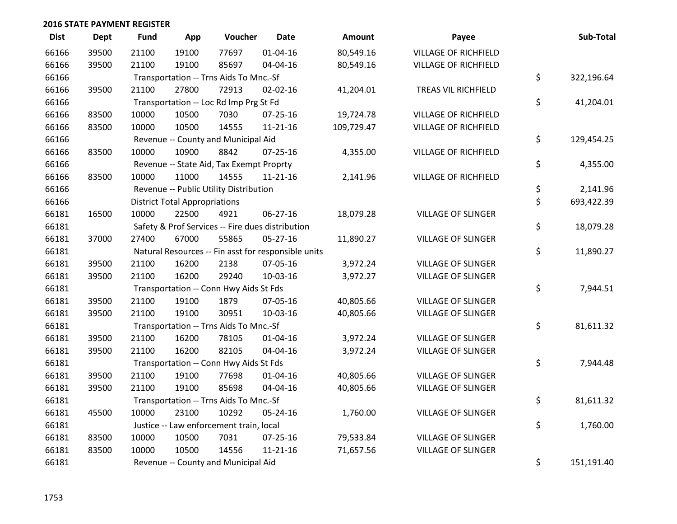| <b>Dist</b> | <b>Dept</b> | Fund  | App                                  | Voucher                                  | <b>Date</b>                                         | Amount     | Payee                       | Sub-Total        |
|-------------|-------------|-------|--------------------------------------|------------------------------------------|-----------------------------------------------------|------------|-----------------------------|------------------|
| 66166       | 39500       | 21100 | 19100                                | 77697                                    | $01 - 04 - 16$                                      | 80,549.16  | <b>VILLAGE OF RICHFIELD</b> |                  |
| 66166       | 39500       | 21100 | 19100                                | 85697                                    | 04-04-16                                            | 80,549.16  | <b>VILLAGE OF RICHFIELD</b> |                  |
| 66166       |             |       |                                      | Transportation -- Trns Aids To Mnc.-Sf   |                                                     |            |                             | \$<br>322,196.64 |
| 66166       | 39500       | 21100 | 27800                                | 72913                                    | 02-02-16                                            | 41,204.01  | TREAS VIL RICHFIELD         |                  |
| 66166       |             |       |                                      | Transportation -- Loc Rd Imp Prg St Fd   |                                                     |            |                             | \$<br>41,204.01  |
| 66166       | 83500       | 10000 | 10500                                | 7030                                     | 07-25-16                                            | 19,724.78  | <b>VILLAGE OF RICHFIELD</b> |                  |
| 66166       | 83500       | 10000 | 10500                                | 14555                                    | $11 - 21 - 16$                                      | 109,729.47 | <b>VILLAGE OF RICHFIELD</b> |                  |
| 66166       |             |       |                                      | Revenue -- County and Municipal Aid      |                                                     |            |                             | \$<br>129,454.25 |
| 66166       | 83500       | 10000 | 10900                                | 8842                                     | 07-25-16                                            | 4,355.00   | <b>VILLAGE OF RICHFIELD</b> |                  |
| 66166       |             |       |                                      | Revenue -- State Aid, Tax Exempt Proprty |                                                     |            |                             | \$<br>4,355.00   |
| 66166       | 83500       | 10000 | 11000                                | 14555                                    | $11 - 21 - 16$                                      | 2,141.96   | <b>VILLAGE OF RICHFIELD</b> |                  |
| 66166       |             |       |                                      | Revenue -- Public Utility Distribution   |                                                     |            |                             | \$<br>2,141.96   |
| 66166       |             |       | <b>District Total Appropriations</b> |                                          |                                                     |            |                             | \$<br>693,422.39 |
| 66181       | 16500       | 10000 | 22500                                | 4921                                     | 06-27-16                                            | 18,079.28  | <b>VILLAGE OF SLINGER</b>   |                  |
| 66181       |             |       |                                      |                                          | Safety & Prof Services -- Fire dues distribution    |            |                             | \$<br>18,079.28  |
| 66181       | 37000       | 27400 | 67000                                | 55865                                    | $05 - 27 - 16$                                      | 11,890.27  | <b>VILLAGE OF SLINGER</b>   |                  |
| 66181       |             |       |                                      |                                          | Natural Resources -- Fin asst for responsible units |            |                             | \$<br>11,890.27  |
| 66181       | 39500       | 21100 | 16200                                | 2138                                     | 07-05-16                                            | 3,972.24   | <b>VILLAGE OF SLINGER</b>   |                  |
| 66181       | 39500       | 21100 | 16200                                | 29240                                    | 10-03-16                                            | 3,972.27   | <b>VILLAGE OF SLINGER</b>   |                  |
| 66181       |             |       |                                      | Transportation -- Conn Hwy Aids St Fds   |                                                     |            |                             | \$<br>7,944.51   |
| 66181       | 39500       | 21100 | 19100                                | 1879                                     | 07-05-16                                            | 40,805.66  | <b>VILLAGE OF SLINGER</b>   |                  |
| 66181       | 39500       | 21100 | 19100                                | 30951                                    | 10-03-16                                            | 40,805.66  | VILLAGE OF SLINGER          |                  |
| 66181       |             |       |                                      | Transportation -- Trns Aids To Mnc.-Sf   |                                                     |            |                             | \$<br>81,611.32  |
| 66181       | 39500       | 21100 | 16200                                | 78105                                    | $01 - 04 - 16$                                      | 3,972.24   | <b>VILLAGE OF SLINGER</b>   |                  |
| 66181       | 39500       | 21100 | 16200                                | 82105                                    | 04-04-16                                            | 3,972.24   | <b>VILLAGE OF SLINGER</b>   |                  |
| 66181       |             |       |                                      | Transportation -- Conn Hwy Aids St Fds   |                                                     |            |                             | \$<br>7,944.48   |
| 66181       | 39500       | 21100 | 19100                                | 77698                                    | $01 - 04 - 16$                                      | 40,805.66  | <b>VILLAGE OF SLINGER</b>   |                  |
| 66181       | 39500       | 21100 | 19100                                | 85698                                    | 04-04-16                                            | 40,805.66  | <b>VILLAGE OF SLINGER</b>   |                  |
| 66181       |             |       |                                      | Transportation -- Trns Aids To Mnc.-Sf   |                                                     |            |                             | \$<br>81,611.32  |
| 66181       | 45500       | 10000 | 23100                                | 10292                                    | 05-24-16                                            | 1,760.00   | <b>VILLAGE OF SLINGER</b>   |                  |
| 66181       |             |       |                                      | Justice -- Law enforcement train, local  |                                                     |            |                             | \$<br>1,760.00   |
| 66181       | 83500       | 10000 | 10500                                | 7031                                     | 07-25-16                                            | 79,533.84  | <b>VILLAGE OF SLINGER</b>   |                  |
| 66181       | 83500       | 10000 | 10500                                | 14556                                    | $11 - 21 - 16$                                      | 71,657.56  | <b>VILLAGE OF SLINGER</b>   |                  |
| 66181       |             |       |                                      | Revenue -- County and Municipal Aid      |                                                     |            |                             | \$<br>151,191.40 |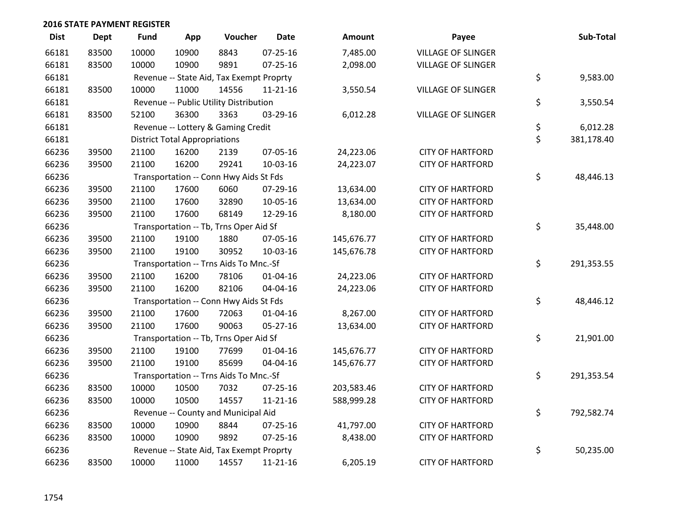| <b>Dist</b> | Dept  | <b>Fund</b> | App                                  | Voucher                                  | <b>Date</b>    | <b>Amount</b> | Payee                     | Sub-Total        |
|-------------|-------|-------------|--------------------------------------|------------------------------------------|----------------|---------------|---------------------------|------------------|
| 66181       | 83500 | 10000       | 10900                                | 8843                                     | $07 - 25 - 16$ | 7,485.00      | <b>VILLAGE OF SLINGER</b> |                  |
| 66181       | 83500 | 10000       | 10900                                | 9891                                     | $07 - 25 - 16$ | 2,098.00      | <b>VILLAGE OF SLINGER</b> |                  |
| 66181       |       |             |                                      | Revenue -- State Aid, Tax Exempt Proprty |                |               |                           | \$<br>9,583.00   |
| 66181       | 83500 | 10000       | 11000                                | 14556                                    | $11 - 21 - 16$ | 3,550.54      | <b>VILLAGE OF SLINGER</b> |                  |
| 66181       |       |             |                                      | Revenue -- Public Utility Distribution   |                |               |                           | \$<br>3,550.54   |
| 66181       | 83500 | 52100       | 36300                                | 3363                                     | 03-29-16       | 6,012.28      | <b>VILLAGE OF SLINGER</b> |                  |
| 66181       |       |             |                                      | Revenue -- Lottery & Gaming Credit       |                |               |                           | \$<br>6,012.28   |
| 66181       |       |             | <b>District Total Appropriations</b> |                                          |                |               |                           | \$<br>381,178.40 |
| 66236       | 39500 | 21100       | 16200                                | 2139                                     | 07-05-16       | 24,223.06     | <b>CITY OF HARTFORD</b>   |                  |
| 66236       | 39500 | 21100       | 16200                                | 29241                                    | 10-03-16       | 24,223.07     | <b>CITY OF HARTFORD</b>   |                  |
| 66236       |       |             |                                      | Transportation -- Conn Hwy Aids St Fds   |                |               |                           | \$<br>48,446.13  |
| 66236       | 39500 | 21100       | 17600                                | 6060                                     | 07-29-16       | 13,634.00     | <b>CITY OF HARTFORD</b>   |                  |
| 66236       | 39500 | 21100       | 17600                                | 32890                                    | 10-05-16       | 13,634.00     | <b>CITY OF HARTFORD</b>   |                  |
| 66236       | 39500 | 21100       | 17600                                | 68149                                    | 12-29-16       | 8,180.00      | <b>CITY OF HARTFORD</b>   |                  |
| 66236       |       |             |                                      | Transportation -- Tb, Trns Oper Aid Sf   |                |               |                           | \$<br>35,448.00  |
| 66236       | 39500 | 21100       | 19100                                | 1880                                     | 07-05-16       | 145,676.77    | <b>CITY OF HARTFORD</b>   |                  |
| 66236       | 39500 | 21100       | 19100                                | 30952                                    | 10-03-16       | 145,676.78    | <b>CITY OF HARTFORD</b>   |                  |
| 66236       |       |             |                                      | Transportation -- Trns Aids To Mnc.-Sf   |                |               |                           | \$<br>291,353.55 |
| 66236       | 39500 | 21100       | 16200                                | 78106                                    | $01 - 04 - 16$ | 24,223.06     | <b>CITY OF HARTFORD</b>   |                  |
| 66236       | 39500 | 21100       | 16200                                | 82106                                    | 04-04-16       | 24,223.06     | <b>CITY OF HARTFORD</b>   |                  |
| 66236       |       |             |                                      | Transportation -- Conn Hwy Aids St Fds   |                |               |                           | \$<br>48,446.12  |
| 66236       | 39500 | 21100       | 17600                                | 72063                                    | $01 - 04 - 16$ | 8,267.00      | <b>CITY OF HARTFORD</b>   |                  |
| 66236       | 39500 | 21100       | 17600                                | 90063                                    | 05-27-16       | 13,634.00     | <b>CITY OF HARTFORD</b>   |                  |
| 66236       |       |             |                                      | Transportation -- Tb, Trns Oper Aid Sf   |                |               |                           | \$<br>21,901.00  |
| 66236       | 39500 | 21100       | 19100                                | 77699                                    | $01 - 04 - 16$ | 145,676.77    | <b>CITY OF HARTFORD</b>   |                  |
| 66236       | 39500 | 21100       | 19100                                | 85699                                    | 04-04-16       | 145,676.77    | <b>CITY OF HARTFORD</b>   |                  |
| 66236       |       |             |                                      | Transportation -- Trns Aids To Mnc.-Sf   |                |               |                           | \$<br>291,353.54 |
| 66236       | 83500 | 10000       | 10500                                | 7032                                     | 07-25-16       | 203,583.46    | <b>CITY OF HARTFORD</b>   |                  |
| 66236       | 83500 | 10000       | 10500                                | 14557                                    | $11 - 21 - 16$ | 588,999.28    | <b>CITY OF HARTFORD</b>   |                  |
| 66236       |       |             |                                      | Revenue -- County and Municipal Aid      |                |               |                           | \$<br>792,582.74 |
| 66236       | 83500 | 10000       | 10900                                | 8844                                     | 07-25-16       | 41,797.00     | <b>CITY OF HARTFORD</b>   |                  |
| 66236       | 83500 | 10000       | 10900                                | 9892                                     | 07-25-16       | 8,438.00      | <b>CITY OF HARTFORD</b>   |                  |
| 66236       |       |             |                                      | Revenue -- State Aid, Tax Exempt Proprty |                |               |                           | \$<br>50,235.00  |
| 66236       | 83500 | 10000       | 11000                                | 14557                                    | $11 - 21 - 16$ | 6,205.19      | <b>CITY OF HARTFORD</b>   |                  |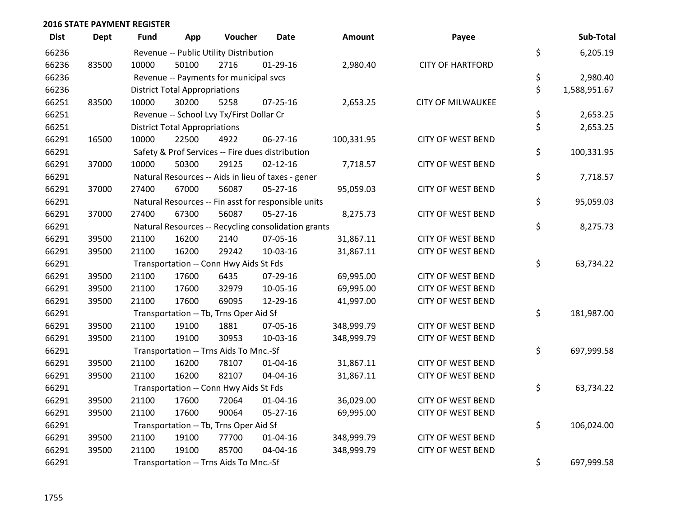| <b>Dist</b> | <b>Dept</b> | <b>Fund</b> | App                                  | Voucher                                  | <b>Date</b>                                         | Amount     | Payee                    | Sub-Total          |
|-------------|-------------|-------------|--------------------------------------|------------------------------------------|-----------------------------------------------------|------------|--------------------------|--------------------|
| 66236       |             |             |                                      | Revenue -- Public Utility Distribution   |                                                     |            |                          | \$<br>6,205.19     |
| 66236       | 83500       | 10000       | 50100                                | 2716                                     | $01-29-16$                                          | 2,980.40   | <b>CITY OF HARTFORD</b>  |                    |
| 66236       |             |             |                                      | Revenue -- Payments for municipal svcs   |                                                     |            |                          | \$<br>2,980.40     |
| 66236       |             |             | <b>District Total Appropriations</b> |                                          |                                                     |            |                          | \$<br>1,588,951.67 |
| 66251       | 83500       | 10000       | 30200                                | 5258                                     | $07 - 25 - 16$                                      | 2,653.25   | <b>CITY OF MILWAUKEE</b> |                    |
| 66251       |             |             |                                      | Revenue -- School Lvy Tx/First Dollar Cr |                                                     |            |                          | \$<br>2,653.25     |
| 66251       |             |             | <b>District Total Appropriations</b> |                                          |                                                     |            |                          | \$<br>2,653.25     |
| 66291       | 16500       | 10000       | 22500                                | 4922                                     | $06 - 27 - 16$                                      | 100,331.95 | <b>CITY OF WEST BEND</b> |                    |
| 66291       |             |             |                                      |                                          | Safety & Prof Services -- Fire dues distribution    |            |                          | \$<br>100,331.95   |
| 66291       | 37000       | 10000       | 50300                                | 29125                                    | $02 - 12 - 16$                                      | 7,718.57   | <b>CITY OF WEST BEND</b> |                    |
| 66291       |             |             |                                      |                                          | Natural Resources -- Aids in lieu of taxes - gener  |            |                          | \$<br>7,718.57     |
| 66291       | 37000       | 27400       | 67000                                | 56087                                    | $05 - 27 - 16$                                      | 95,059.03  | <b>CITY OF WEST BEND</b> |                    |
| 66291       |             |             |                                      |                                          | Natural Resources -- Fin asst for responsible units |            |                          | \$<br>95,059.03    |
| 66291       | 37000       | 27400       | 67300                                | 56087                                    | $05 - 27 - 16$                                      | 8,275.73   | <b>CITY OF WEST BEND</b> |                    |
| 66291       |             |             |                                      |                                          | Natural Resources -- Recycling consolidation grants |            |                          | \$<br>8,275.73     |
| 66291       | 39500       | 21100       | 16200                                | 2140                                     | 07-05-16                                            | 31,867.11  | <b>CITY OF WEST BEND</b> |                    |
| 66291       | 39500       | 21100       | 16200                                | 29242                                    | 10-03-16                                            | 31,867.11  | <b>CITY OF WEST BEND</b> |                    |
| 66291       |             |             |                                      | Transportation -- Conn Hwy Aids St Fds   |                                                     |            |                          | \$<br>63,734.22    |
| 66291       | 39500       | 21100       | 17600                                | 6435                                     | 07-29-16                                            | 69,995.00  | <b>CITY OF WEST BEND</b> |                    |
| 66291       | 39500       | 21100       | 17600                                | 32979                                    | 10-05-16                                            | 69,995.00  | <b>CITY OF WEST BEND</b> |                    |
| 66291       | 39500       | 21100       | 17600                                | 69095                                    | 12-29-16                                            | 41,997.00  | <b>CITY OF WEST BEND</b> |                    |
| 66291       |             |             |                                      | Transportation -- Tb, Trns Oper Aid Sf   |                                                     |            |                          | \$<br>181,987.00   |
| 66291       | 39500       | 21100       | 19100                                | 1881                                     | 07-05-16                                            | 348,999.79 | <b>CITY OF WEST BEND</b> |                    |
| 66291       | 39500       | 21100       | 19100                                | 30953                                    | 10-03-16                                            | 348,999.79 | <b>CITY OF WEST BEND</b> |                    |
| 66291       |             |             |                                      | Transportation -- Trns Aids To Mnc.-Sf   |                                                     |            |                          | \$<br>697,999.58   |
| 66291       | 39500       | 21100       | 16200                                | 78107                                    | $01 - 04 - 16$                                      | 31,867.11  | <b>CITY OF WEST BEND</b> |                    |
| 66291       | 39500       | 21100       | 16200                                | 82107                                    | 04-04-16                                            | 31,867.11  | <b>CITY OF WEST BEND</b> |                    |
| 66291       |             |             |                                      | Transportation -- Conn Hwy Aids St Fds   |                                                     |            |                          | \$<br>63,734.22    |
| 66291       | 39500       | 21100       | 17600                                | 72064                                    | 01-04-16                                            | 36,029.00  | <b>CITY OF WEST BEND</b> |                    |
| 66291       | 39500       | 21100       | 17600                                | 90064                                    | 05-27-16                                            | 69,995.00  | <b>CITY OF WEST BEND</b> |                    |
| 66291       |             |             |                                      | Transportation -- Tb, Trns Oper Aid Sf   |                                                     |            |                          | \$<br>106,024.00   |
| 66291       | 39500       | 21100       | 19100                                | 77700                                    | $01 - 04 - 16$                                      | 348,999.79 | <b>CITY OF WEST BEND</b> |                    |
| 66291       | 39500       | 21100       | 19100                                | 85700                                    | 04-04-16                                            | 348,999.79 | <b>CITY OF WEST BEND</b> |                    |
| 66291       |             |             |                                      | Transportation -- Trns Aids To Mnc.-Sf   |                                                     |            |                          | \$<br>697,999.58   |